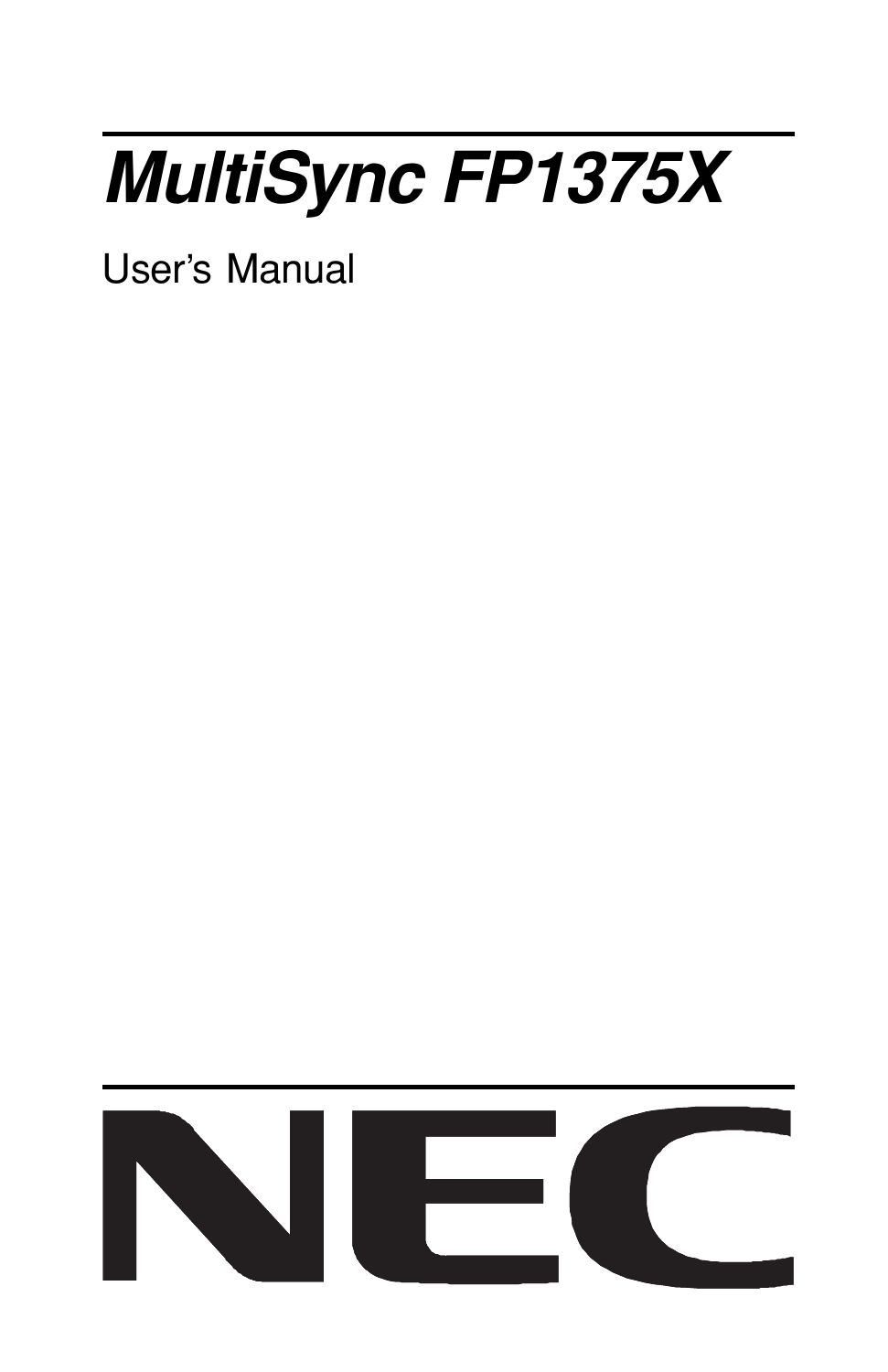# **MultiSync FP1375X**

User's Manual

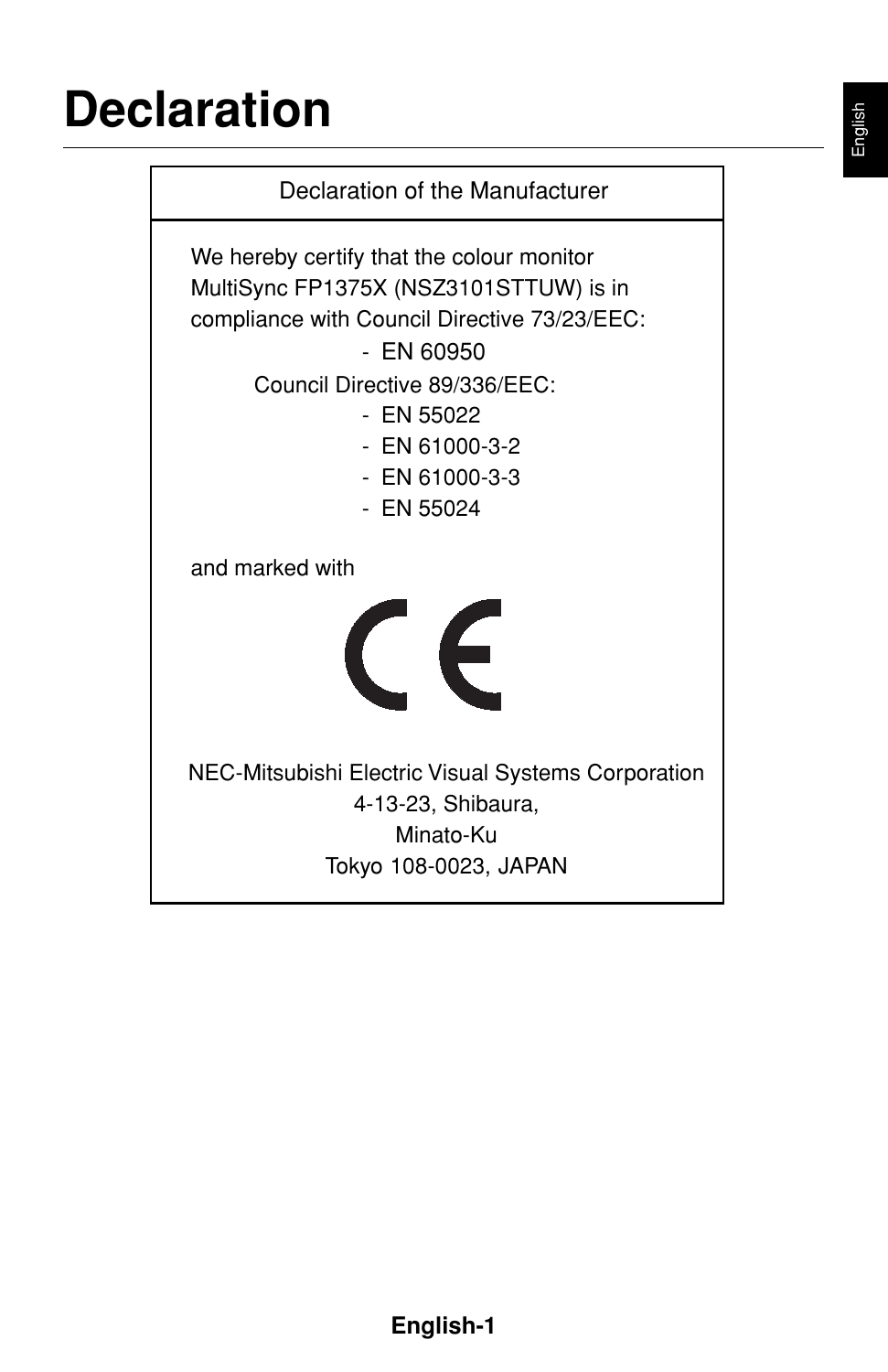### **Declaration**

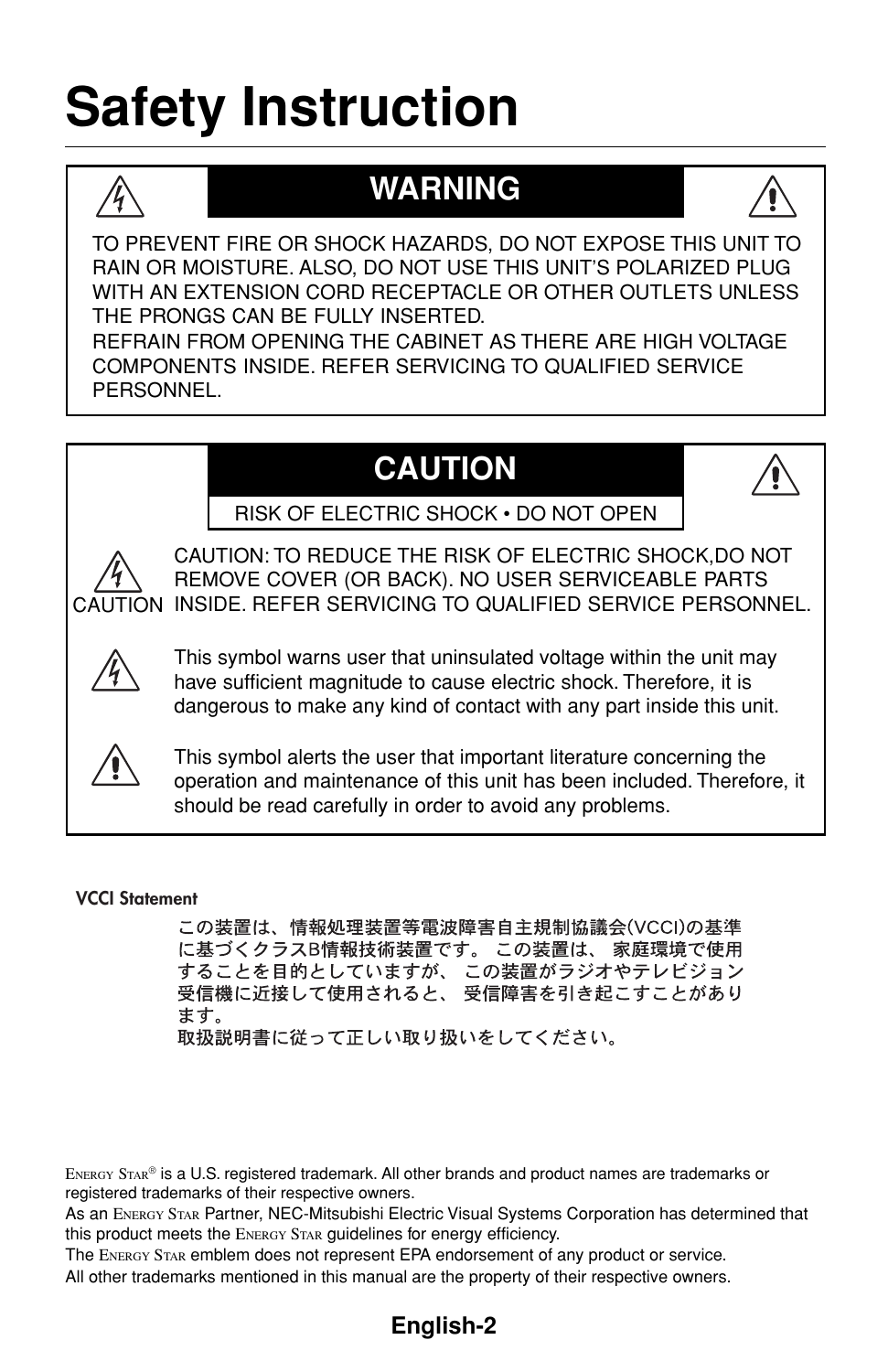## **Safety Instruction**



### **WARNING**



WITH AN EXTENSION CORD RECEPTACLE OR OTHER OUTLETS UNLESS THE PRONGS CAN BE FULLY INSERTED.

REFRAIN FROM OPENING THE CABINET AS THERE ARE HIGH VOLTAGE COMPONENTS INSIDE. REFER SERVICING TO QUALIFIED SERVICE **PERSONNEL** 

### **CAUTION**



RISK OF ELECTRIC SHOCK • DO NOT OPEN



CAUTION INSIDE. REFER SERVICING TO QUALIFIED SERVICE PERSONNEL. CAUTION: TO REDUCE THE RISK OF ELECTRIC SHOCK,DO NOT REMOVE COVER (OR BACK). NO USER SERVICEABLE PARTS



This symbol warns user that uninsulated voltage within the unit may have sufficient magnitude to cause electric shock. Therefore, it is dangerous to make any kind of contact with any part inside this unit.



This symbol alerts the user that important literature concerning the operation and maintenance of this unit has been included. Therefore, it should be read carefully in order to avoid any problems.

#### **VCCI Statement**

この装置は、情報処理装置等電波障害自主規制協議会(VCCI)の基準 に基づくクラスB情報技術装置です。 この装置は、 家庭環境で使用 することを目的としていますが、 この装置がラジオやテレビジョン 受信機に近接して使用されると、 受信障害を引き起こすことがあり ます。 取扱説明書に従って正しい取り扱いをしてください。

ENERGY STAR® is a U.S. registered trademark. All other brands and product names are trademarks or registered trademarks of their respective owners.

As an ENERGY STAR Partner, NEC-Mitsubishi Electric Visual Systems Corporation has determined that this product meets the ENERGY STAR guidelines for energy efficiency.

The ENERGY STAR emblem does not represent EPA endorsement of any product or service. All other trademarks mentioned in this manual are the property of their respective owners.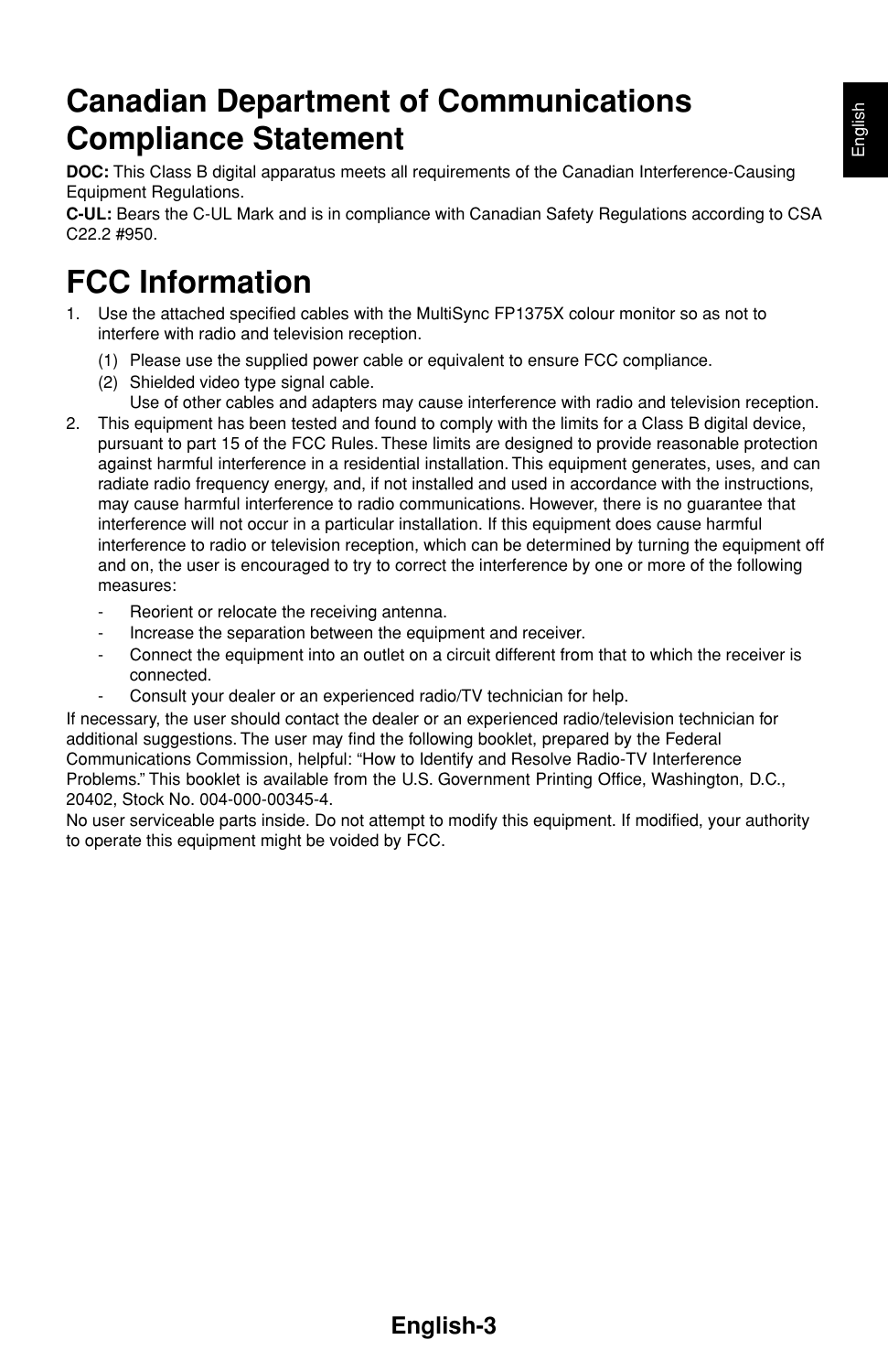### **Canadian Department of Communications Compliance Statement**

**DOC:** This Class B digital apparatus meets all requirements of the Canadian Interference-Causing Equipment Regulations.

**C-UL:** Bears the C-UL Mark and is in compliance with Canadian Safety Regulations according to CSA C22.2 #950.

### **FCC Information**

- 1. Use the attached specified cables with the MultiSync FP1375X colour monitor so as not to interfere with radio and television reception.
	- (1) Please use the supplied power cable or equivalent to ensure FCC compliance.
	- (2) Shielded video type signal cable.
		- Use of other cables and adapters may cause interference with radio and television reception.
- 2. This equipment has been tested and found to comply with the limits for a Class B digital device, pursuant to part 15 of the FCC Rules. These limits are designed to provide reasonable protection against harmful interference in a residential installation. This equipment generates, uses, and can radiate radio frequency energy, and, if not installed and used in accordance with the instructions, may cause harmful interference to radio communications. However, there is no guarantee that interference will not occur in a particular installation. If this equipment does cause harmful interference to radio or television reception, which can be determined by turning the equipment off and on, the user is encouraged to try to correct the interference by one or more of the following measures:
	- Reorient or relocate the receiving antenna.
	- Increase the separation between the equipment and receiver.
	- Connect the equipment into an outlet on a circuit different from that to which the receiver is connected.
	- Consult your dealer or an experienced radio/TV technician for help.

If necessary, the user should contact the dealer or an experienced radio/television technician for additional suggestions. The user may find the following booklet, prepared by the Federal Communications Commission, helpful: "How to Identify and Resolve Radio-TV Interference Problems." This booklet is available from the U.S. Government Printing Office, Washington, D.C., 20402, Stock No. 004-000-00345-4.

No user serviceable parts inside. Do not attempt to modify this equipment. If modified, your authority to operate this equipment might be voided by FCC.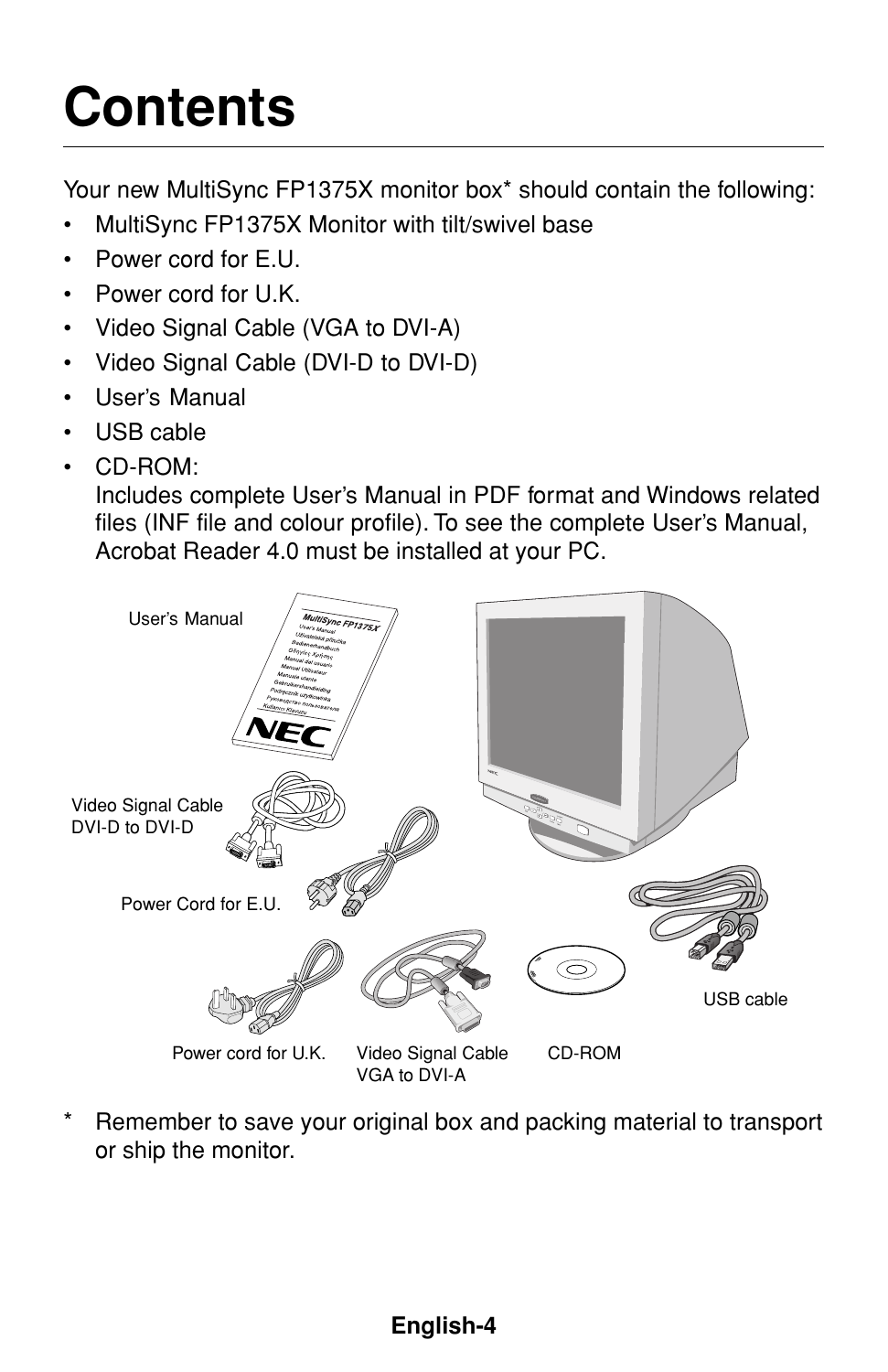# **Contents**

Your new MultiSync FP1375X monitor box\* should contain the following:

- MultiSync FP1375X Monitor with tilt/swivel base
- Power cord for E.U.
- Power cord for U.K.
- Video Signal Cable (VGA to DVI-A)
- Video Signal Cable (DVI-D to DVI-D)
- User's Manual
- USB cable
- CD-ROM:

Includes complete User's Manual in PDF format and Windows related files (INF file and colour profile). To see the complete User's Manual, Acrobat Reader 4.0 must be installed at your PC.



Remember to save your original box and packing material to transport or ship the monitor.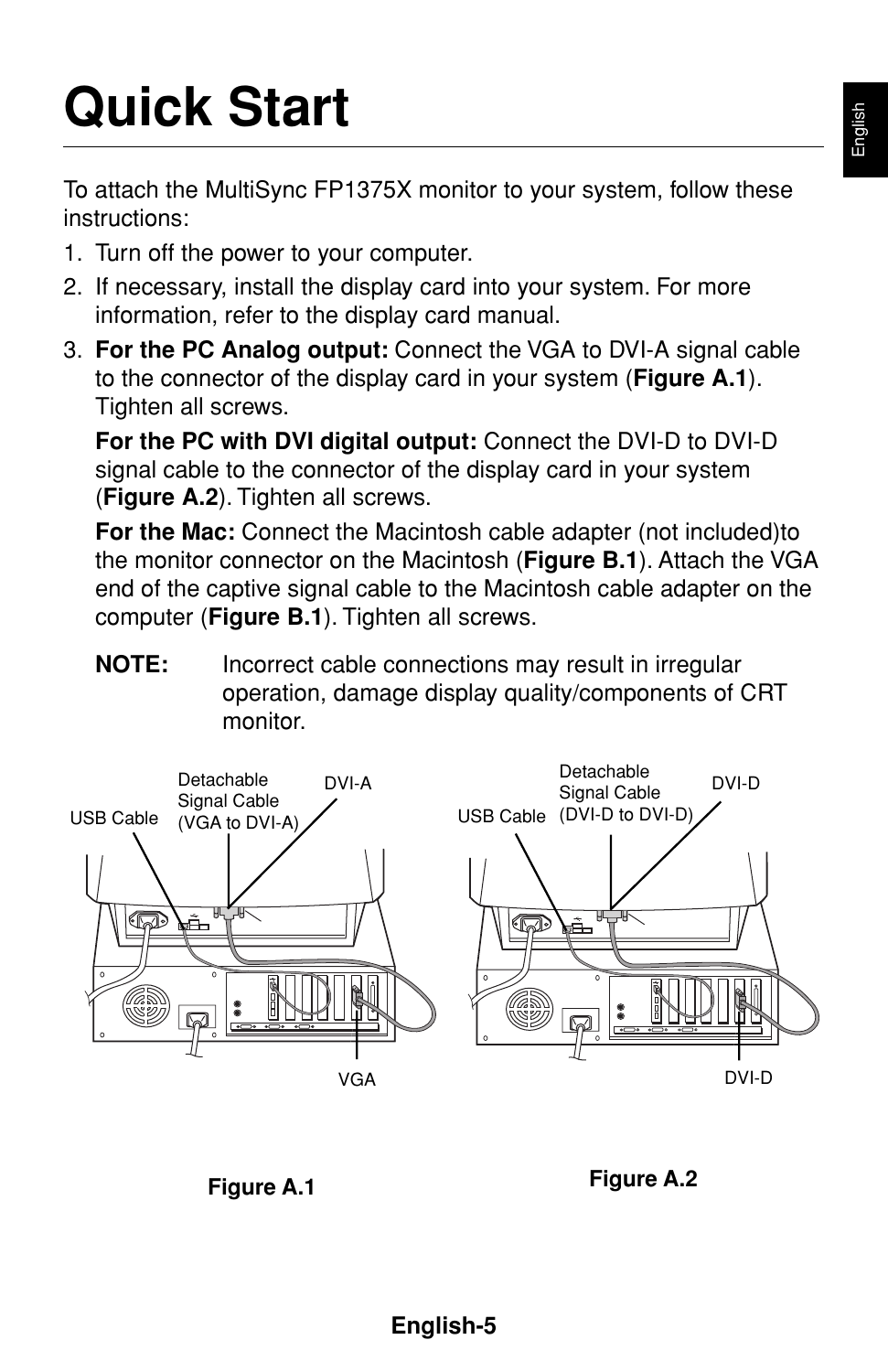# **Quick Start**

To attach the MultiSync FP1375X monitor to your system, follow these instructions:

- 1. Turn off the power to your computer.
- 2. If necessary, install the display card into your system. For more information, refer to the display card manual.
- 3. **For the PC Analog output:** Connect the VGA to DVI-A signal cable to the connector of the display card in your system (**Figure A.1**). Tighten all screws.

**For the PC with DVI digital output:** Connect the DVI-D to DVI-D signal cable to the connector of the display card in your system (**Figure A.2**). Tighten all screws.

**For the Mac:** Connect the Macintosh cable adapter (not included)to the monitor connector on the Macintosh (**Figure B.1**). Attach the VGA end of the captive signal cable to the Macintosh cable adapter on the computer (**Figure B.1**). Tighten all screws.

**NOTE:** Incorrect cable connections may result in irregular operation, damage display quality/components of CRT monitor.



**Figure A.1 Figure A.2**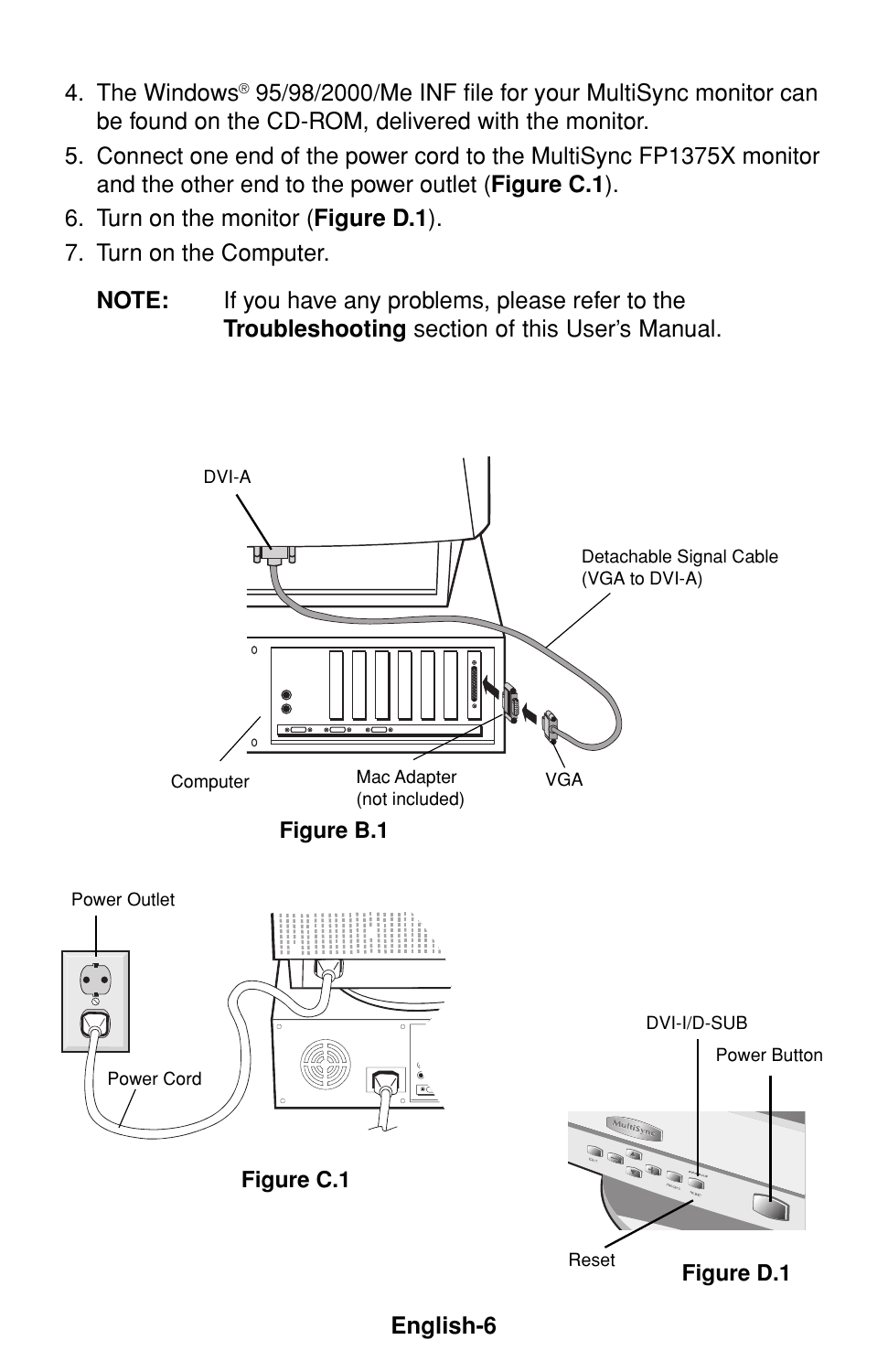- 4. The Windows® 95/98/2000/Me INF file for your MultiSync monitor can be found on the CD-ROM, delivered with the monitor.
- 5. Connect one end of the power cord to the MultiSync FP1375X monitor and the other end to the power outlet (**Figure C.1**).
- 6. Turn on the monitor (**Figure D.1**).
- 7. Turn on the Computer.
	- **NOTE:** If you have any problems, please refer to the **Troubleshooting** section of this User's Manual.

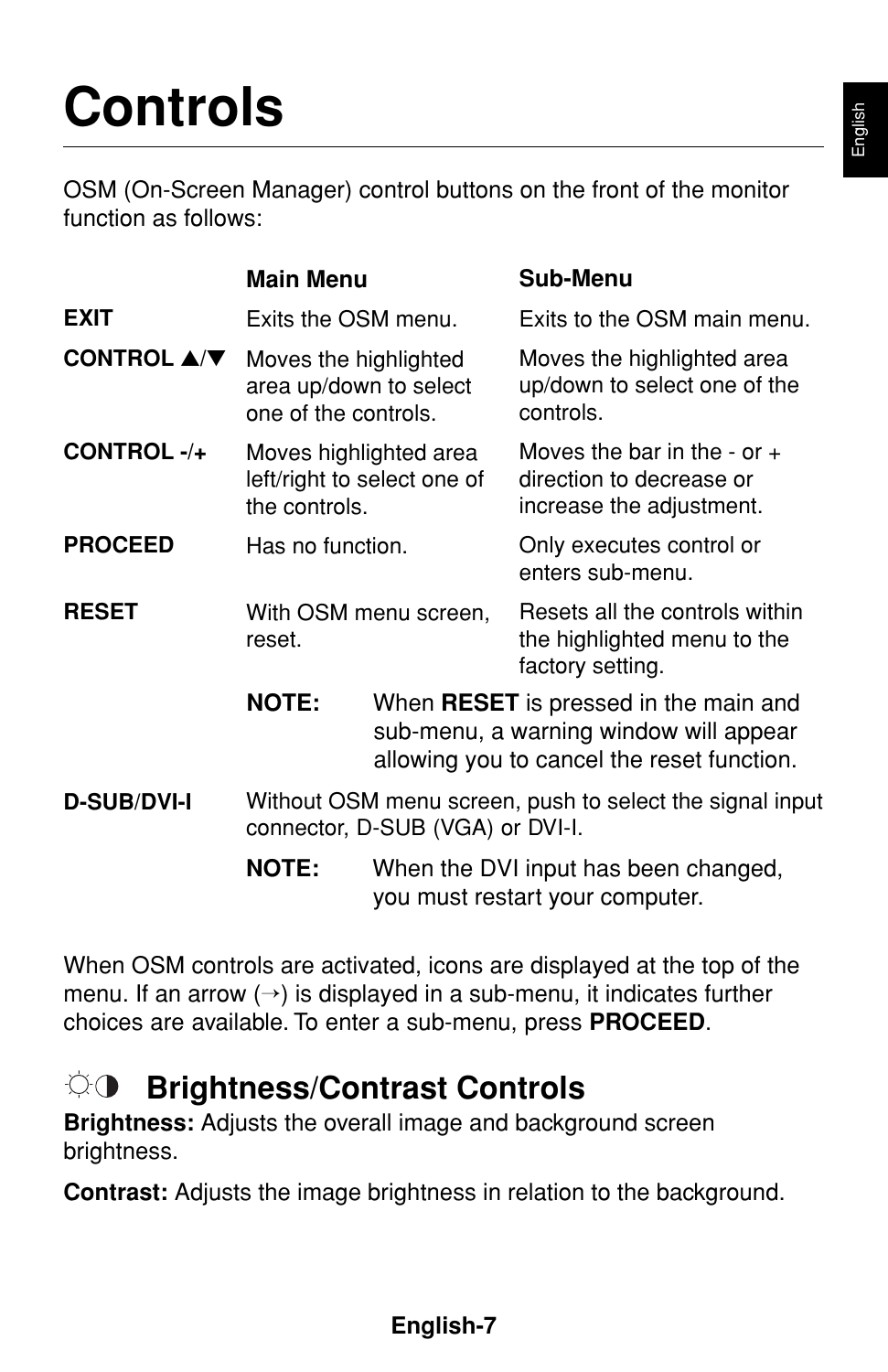# **Controls**

OSM (On-Screen Manager) control buttons on the front of the monitor function as follows:

|                                             | <b>Main Menu</b>                                                                             |                                                                                                                               | Sub-Menu                                                                              |  |
|---------------------------------------------|----------------------------------------------------------------------------------------------|-------------------------------------------------------------------------------------------------------------------------------|---------------------------------------------------------------------------------------|--|
| <b>EXIT</b>                                 | Exits the OSM menu.                                                                          |                                                                                                                               | Exits to the OSM main menu.                                                           |  |
| CONTROL $\blacktriangle/\blacktriangledown$ | Moves the highlighted<br>area up/down to select<br>one of the controls.                      |                                                                                                                               | Moves the highlighted area<br>up/down to select one of the<br>controls.               |  |
| CONTROL-/+                                  | Moves highlighted area<br>the controls.                                                      | left/right to select one of                                                                                                   | Moves the bar in the - or $+$<br>direction to decrease or<br>increase the adjustment. |  |
| <b>PROCEED</b>                              | Has no function.                                                                             |                                                                                                                               | Only executes control or<br>enters sub-menu.                                          |  |
| <b>RESET</b>                                | With OSM menu screen,<br>reset.                                                              |                                                                                                                               | Resets all the controls within<br>the highlighted menu to the<br>factory setting.     |  |
|                                             | <b>NOTE:</b>                                                                                 | When RESET is pressed in the main and<br>sub-menu, a warning window will appear<br>allowing you to cancel the reset function. |                                                                                       |  |
| <b>D-SUB/DVI-I</b>                          | Without OSM menu screen, push to select the signal input<br>connector, D-SUB (VGA) or DVI-I. |                                                                                                                               |                                                                                       |  |
|                                             | <b>NOTE:</b>                                                                                 | When the DVI input has been changed,<br>you must restart your computer.                                                       |                                                                                       |  |

When OSM controls are activated, icons are displayed at the top of the menu. If an arrow  $(\rightarrow)$  is displayed in a sub-menu, it indicates further choices are available. To enter a sub-menu, press **PROCEED**.

#### $\bigcirc$ **Brightness/Contrast Controls**

**Brightness:** Adjusts the overall image and background screen brightness.

**Contrast:** Adjusts the image brightness in relation to the background.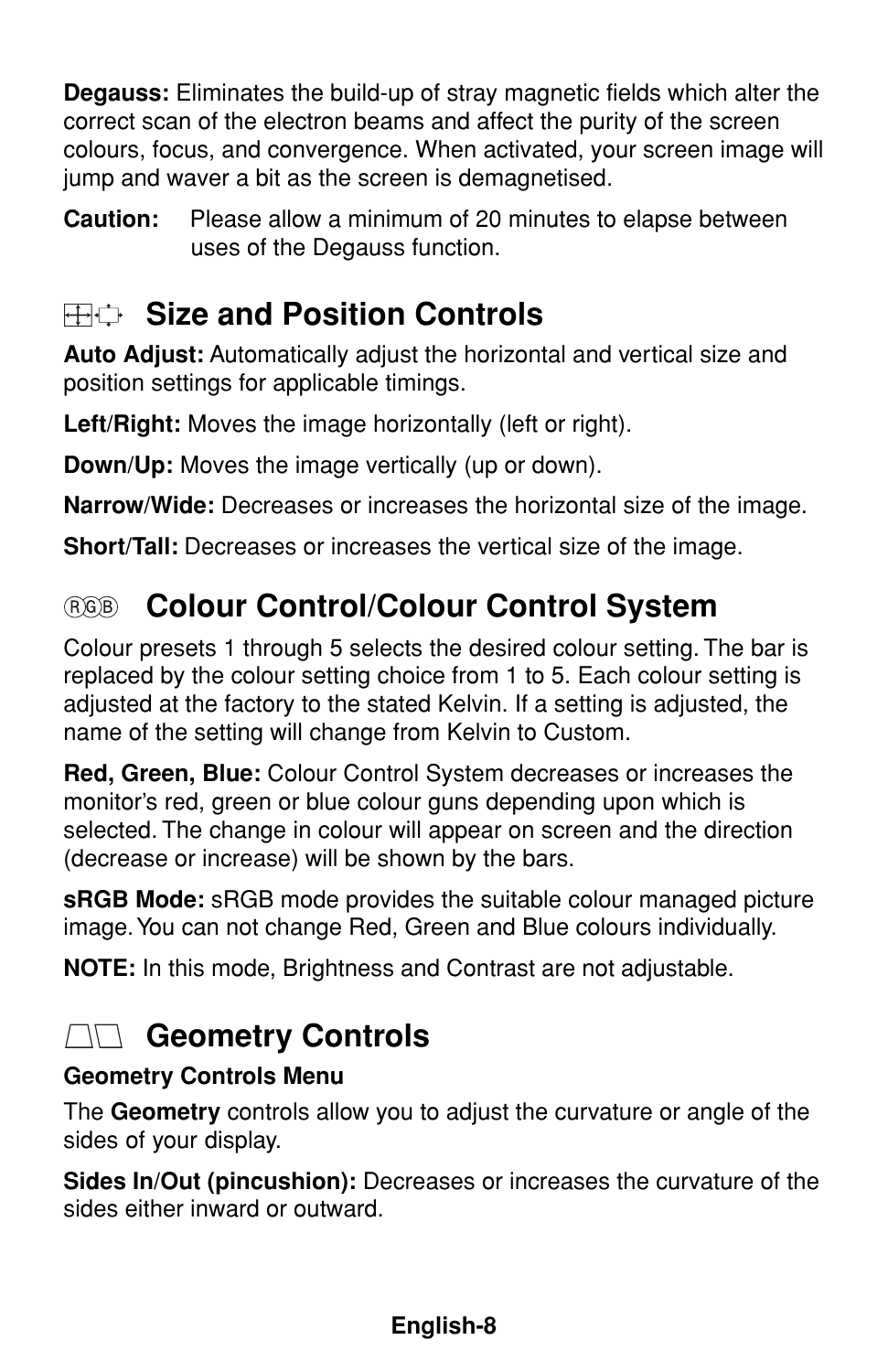**Degauss:** Eliminates the build-up of stray magnetic fields which alter the correct scan of the electron beams and affect the purity of the screen colours, focus, and convergence. When activated, your screen image will jump and waver a bit as the screen is demagnetised.

**Caution:** Please allow a minimum of 20 minutes to elapse between uses of the Degauss function.

### **Size and Position Controls**

**Auto Adjust:** Automatically adjust the horizontal and vertical size and position settings for applicable timings.

**Left/Right:** Moves the image horizontally (left or right).

**Down/Up:** Moves the image vertically (up or down).

**Narrow/Wide:** Decreases or increases the horizontal size of the image.

**Short/Tall:** Decreases or increases the vertical size of the image.

### **Colour Control/Colour Control System**

Colour presets 1 through 5 selects the desired colour setting. The bar is replaced by the colour setting choice from 1 to 5. Each colour setting is adjusted at the factory to the stated Kelvin. If a setting is adjusted, the name of the setting will change from Kelvin to Custom.

**Red, Green, Blue:** Colour Control System decreases or increases the monitor's red, green or blue colour guns depending upon which is selected. The change in colour will appear on screen and the direction (decrease or increase) will be shown by the bars.

**sRGB Mode:** sRGB mode provides the suitable colour managed picture image. You can not change Red, Green and Blue colours individually.

**NOTE:** In this mode, Brightness and Contrast are not adjustable.

### **AG** Geometry Controls

### **Geometry Controls Menu**

The **Geometry** controls allow you to adjust the curvature or angle of the sides of your display.

**Sides In/Out (pincushion):** Decreases or increases the curvature of the sides either inward or outward.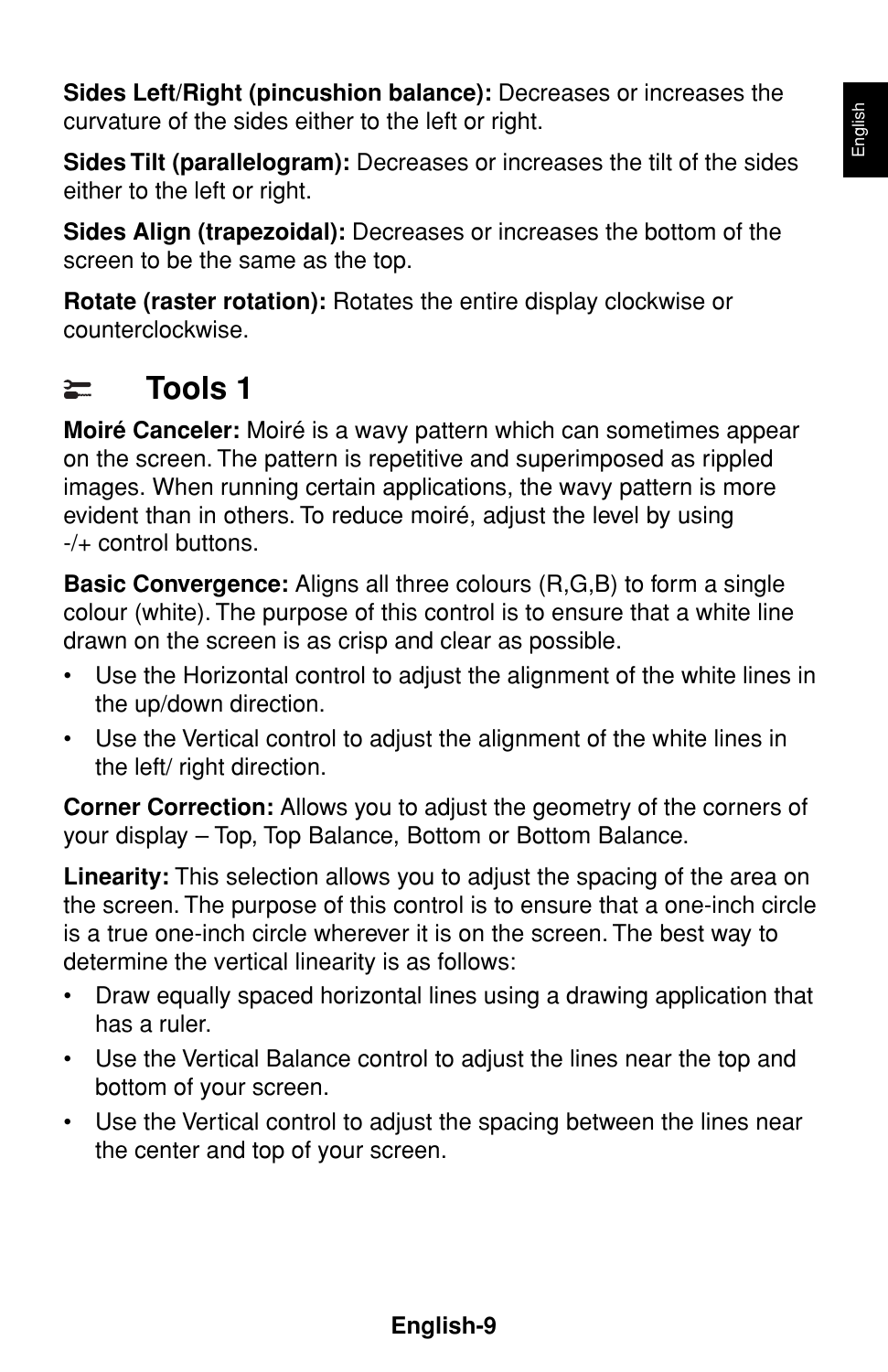**Sides Left/Right (pincushion balance):** Decreases or increases the curvature of the sides either to the left or right.

**Sides Tilt (parallelogram):** Decreases or increases the tilt of the sides either to the left or right.

**Sides Align (trapezoidal):** Decreases or increases the bottom of the screen to be the same as the top.

**Rotate (raster rotation):** Rotates the entire display clockwise or counterclockwise.

#### **Tools 1**  $\equiv$

**Moiré Canceler:** Moiré is a wavy pattern which can sometimes appear on the screen. The pattern is repetitive and superimposed as rippled images. When running certain applications, the wavy pattern is more evident than in others. To reduce moiré, adjust the level by using -/+ control buttons.

**Basic Convergence:** Aligns all three colours (R,G,B) to form a single colour (white). The purpose of this control is to ensure that a white line drawn on the screen is as crisp and clear as possible.

- Use the Horizontal control to adjust the alignment of the white lines in the up/down direction.
- Use the Vertical control to adjust the alignment of the white lines in the left/ right direction.

**Corner Correction:** Allows you to adjust the geometry of the corners of your display – Top, Top Balance, Bottom or Bottom Balance.

**Linearity:** This selection allows you to adjust the spacing of the area on the screen. The purpose of this control is to ensure that a one-inch circle is a true one-inch circle wherever it is on the screen. The best way to determine the vertical linearity is as follows:

- Draw equally spaced horizontal lines using a drawing application that has a ruler.
- Use the Vertical Balance control to adjust the lines near the top and bottom of your screen.
- Use the Vertical control to adjust the spacing between the lines near the center and top of your screen.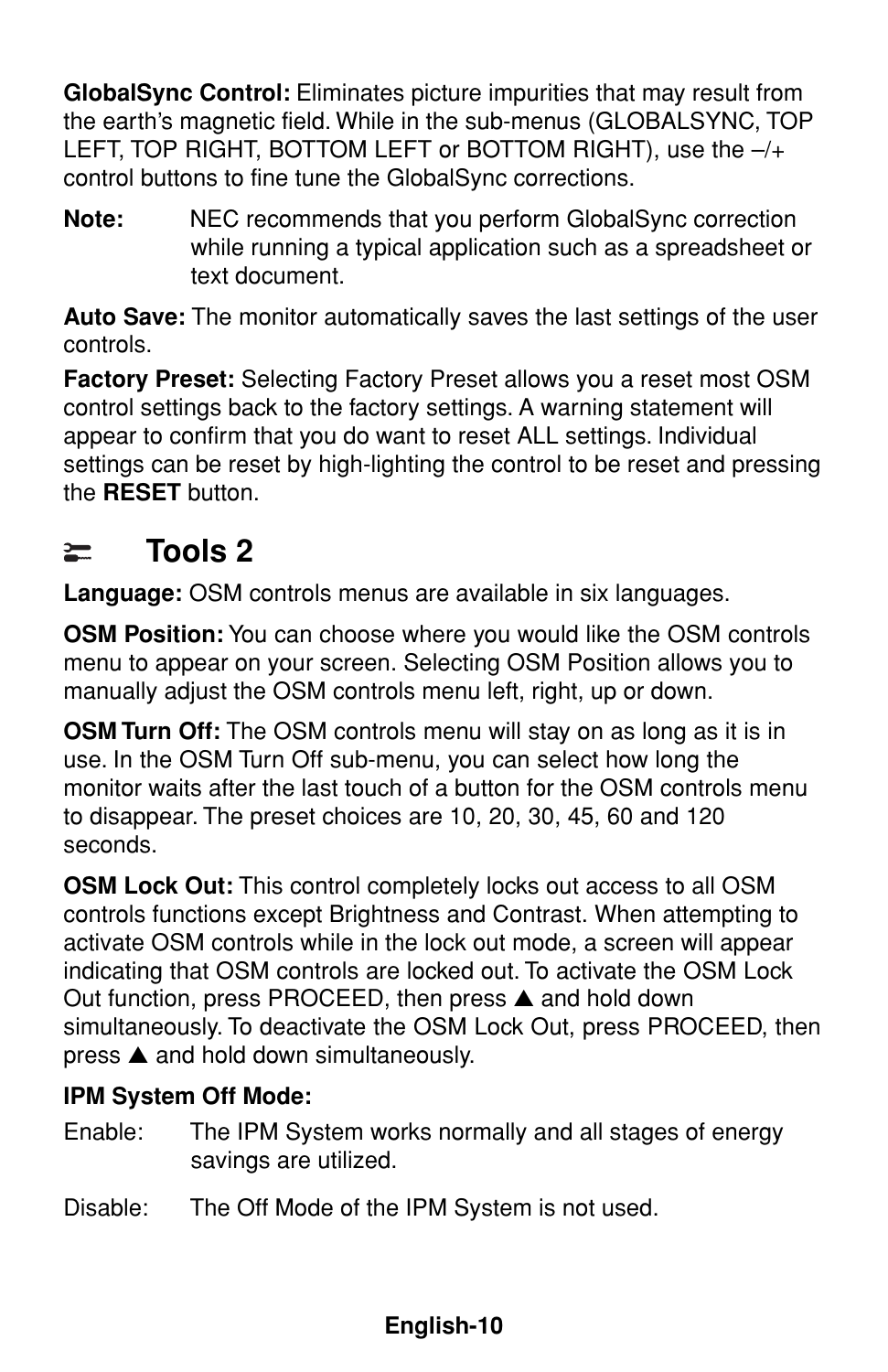**GlobalSync Control:** Eliminates picture impurities that may result from the earth's magnetic field. While in the sub-menus (GLOBALSYNC, TOP LEFT, TOP RIGHT, BOTTOM LEFT or BOTTOM RIGHT), use the –/+ control buttons to fine tune the GlobalSync corrections.

**Note:** NEC recommends that you perform GlobalSync correction while running a typical application such as a spreadsheet or text document.

**Auto Save:** The monitor automatically saves the last settings of the user controls.

**Factory Preset:** Selecting Factory Preset allows you a reset most OSM control settings back to the factory settings. A warning statement will appear to confirm that you do want to reset ALL settings. Individual settings can be reset by high-lighting the control to be reset and pressing the **RESET** button.

#### **Tools 2**  $\equiv$

**Language:** OSM controls menus are available in six languages.

**OSM Position:** You can choose where you would like the OSM controls menu to appear on your screen. Selecting OSM Position allows you to manually adjust the OSM controls menu left, right, up or down.

**OSM Turn Off:** The OSM controls menu will stay on as long as it is in use. In the OSM Turn Off sub-menu, you can select how long the monitor waits after the last touch of a button for the OSM controls menu to disappear. The preset choices are 10, 20, 30, 45, 60 and 120 seconds.

**OSM Lock Out:** This control completely locks out access to all OSM controls functions except Brightness and Contrast. When attempting to activate OSM controls while in the lock out mode, a screen will appear indicating that OSM controls are locked out. To activate the OSM Lock Out function, press PROCEED, then press ▲ and hold down simultaneously. To deactivate the OSM Lock Out, press PROCEED, then press ▲ and hold down simultaneously.

### **IPM System Off Mode:**

Enable: The IPM System works normally and all stages of energy savings are utilized.

Disable: The Off Mode of the IPM System is not used.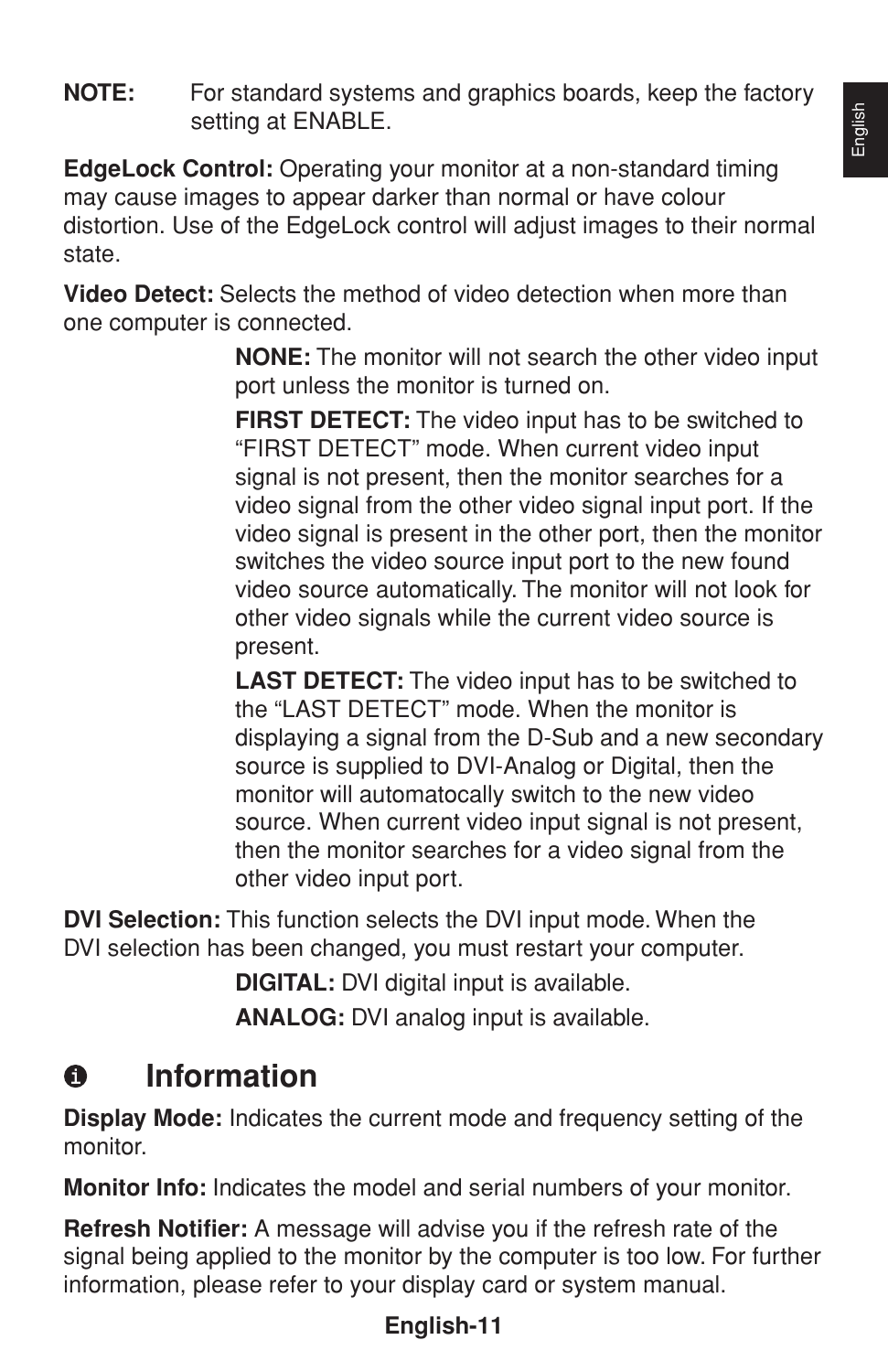**NOTE:** For standard systems and graphics boards, keep the factory setting at ENABLE.

**EdgeLock Control:** Operating your monitor at a non-standard timing may cause images to appear darker than normal or have colour distortion. Use of the EdgeLock control will adjust images to their normal state.

**Video Detect:** Selects the method of video detection when more than one computer is connected.

> **NONE:** The monitor will not search the other video input port unless the monitor is turned on.

> **FIRST DETECT:** The video input has to be switched to "FIRST DETECT" mode. When current video input signal is not present, then the monitor searches for a video signal from the other video signal input port. If the video signal is present in the other port, then the monitor switches the video source input port to the new found video source automatically. The monitor will not look for other video signals while the current video source is present.

> **LAST DETECT:** The video input has to be switched to the "LAST DETECT" mode. When the monitor is displaying a signal from the D-Sub and a new secondary source is supplied to DVI-Analog or Digital, then the monitor will automatocally switch to the new video source. When current video input signal is not present, then the monitor searches for a video signal from the other video input port.

**DVI Selection:** This function selects the DVI input mode. When the DVI selection has been changed, you must restart your computer.

**DIGITAL:** DVI digital input is available.

**ANALOG:** DVI analog input is available.

#### $\bullet$ **Information**

**Display Mode:** Indicates the current mode and frequency setting of the monitor.

**Monitor Info:** Indicates the model and serial numbers of your monitor.

**Refresh Notifier:** A message will advise you if the refresh rate of the signal being applied to the monitor by the computer is too low. For further information, please refer to your display card or system manual.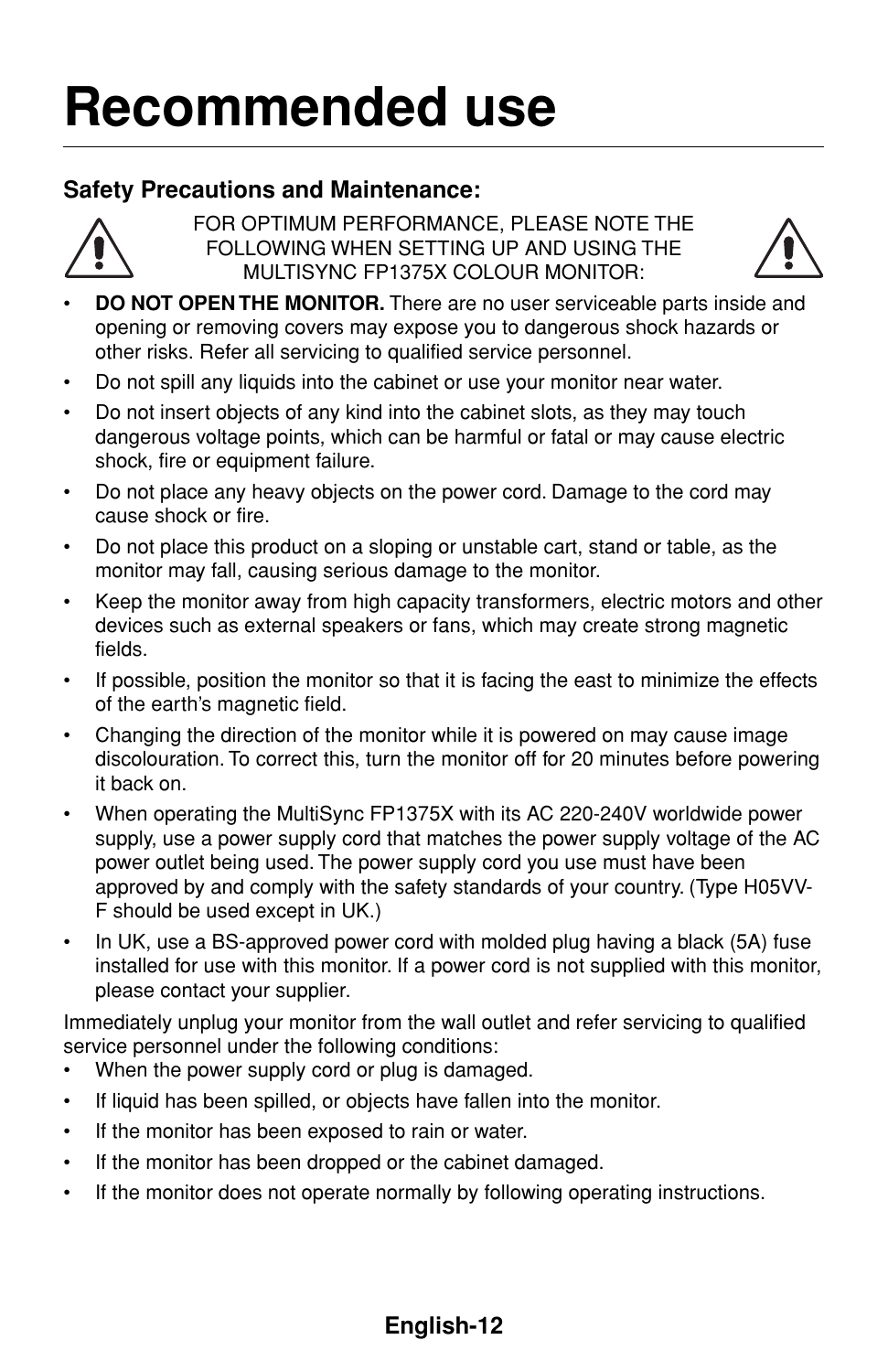### **Recommended use**

### **Safety Precautions and Maintenance:**



FOR OPTIMUM PERFORMANCE, PLEASE NOTE THE FOLLOWING WHEN SETTING UP AND USING THE MULTISYNC FP1375X COLOUR MONITOR:



- **DO NOT OPEN THE MONITOR.** There are no user serviceable parts inside and opening or removing covers may expose you to dangerous shock hazards or other risks. Refer all servicing to qualified service personnel.
- Do not spill any liquids into the cabinet or use your monitor near water.
- Do not insert objects of any kind into the cabinet slots, as they may touch dangerous voltage points, which can be harmful or fatal or may cause electric shock, fire or equipment failure.
- Do not place any heavy objects on the power cord. Damage to the cord may cause shock or fire.
- Do not place this product on a sloping or unstable cart, stand or table, as the monitor may fall, causing serious damage to the monitor.
- Keep the monitor away from high capacity transformers, electric motors and other devices such as external speakers or fans, which may create strong magnetic fields.
- If possible, position the monitor so that it is facing the east to minimize the effects of the earth's magnetic field.
- Changing the direction of the monitor while it is powered on may cause image discolouration. To correct this, turn the monitor off for 20 minutes before powering it back on.
- When operating the MultiSync FP1375X with its AC 220-240V worldwide power supply, use a power supply cord that matches the power supply voltage of the AC power outlet being used. The power supply cord you use must have been approved by and comply with the safety standards of your country. (Type H05VV-F should be used except in UK.)
- In UK, use a BS-approved power cord with molded plug having a black (5A) fuse installed for use with this monitor. If a power cord is not supplied with this monitor, please contact your supplier.

Immediately unplug your monitor from the wall outlet and refer servicing to qualified service personnel under the following conditions:

- When the power supply cord or plug is damaged.
- If liquid has been spilled, or objects have fallen into the monitor.
- If the monitor has been exposed to rain or water.
- If the monitor has been dropped or the cabinet damaged.
- If the monitor does not operate normally by following operating instructions.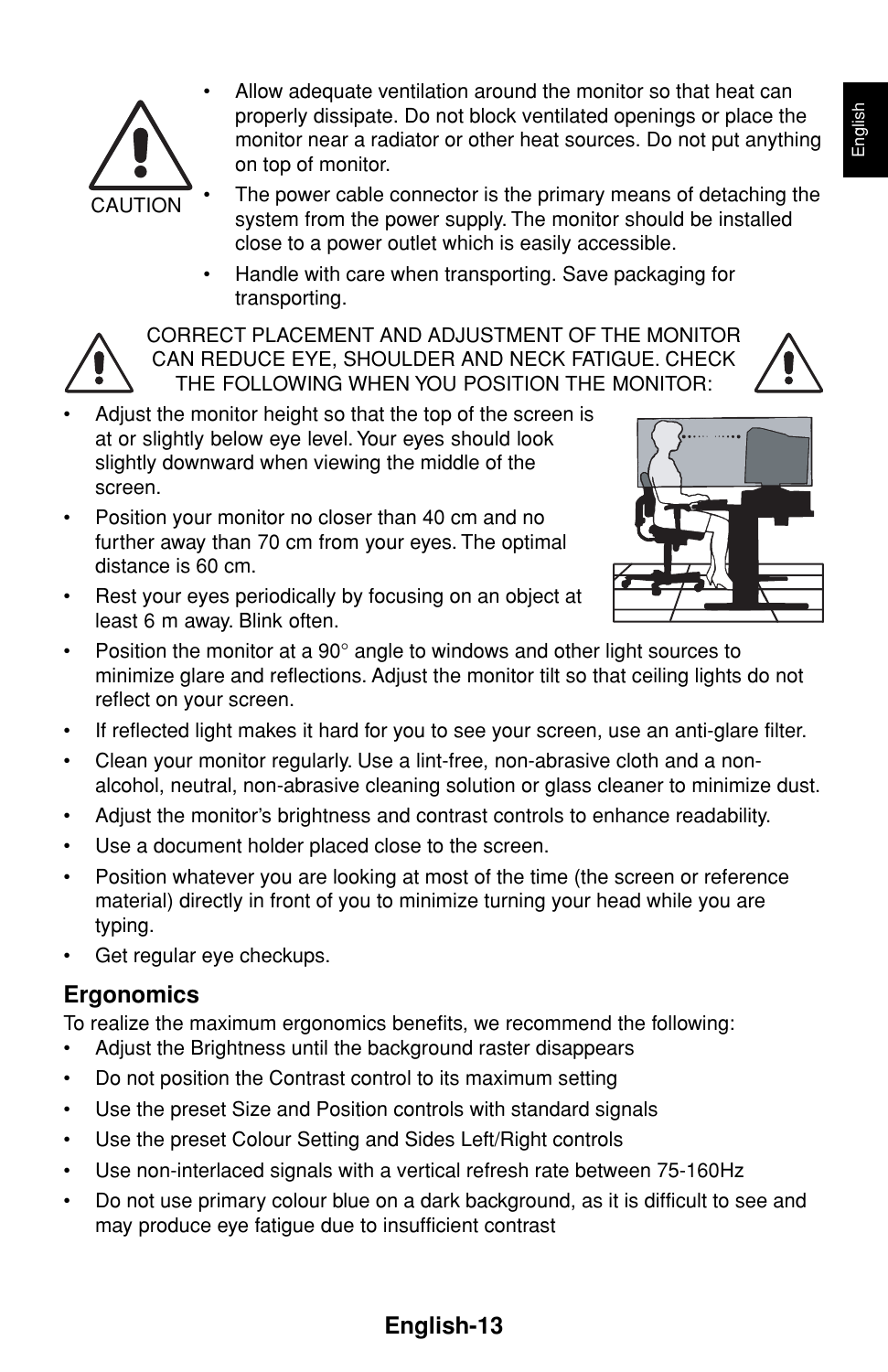

- Allow adequate ventilation around the monitor so that heat can properly dissipate. Do not block ventilated openings or place the monitor near a radiator or other heat sources. Do not put anything on top of monitor.
- The power cable connector is the primary means of detaching the system from the power supply. The monitor should be installed close to a power outlet which is easily accessible.
- Handle with care when transporting. Save packaging for transporting.



CORRECT PLACEMENT AND ADJUSTMENT OF THE MONITOR CAN REDUCE EYE, SHOULDER AND NECK FATIGUE. CHECK THE FOLLOWING WHEN YOU POSITION THE MONITOR:

- Adjust the monitor height so that the top of the screen is at or slightly below eye level. Your eyes should look slightly downward when viewing the middle of the screen.
- Position your monitor no closer than 40 cm and no further away than 70 cm from your eyes. The optimal distance is 60 cm.
- Rest your eyes periodically by focusing on an object at least 6 m away. Blink often.



- Position the monitor at a 90° angle to windows and other light sources to minimize glare and reflections. Adjust the monitor tilt so that ceiling lights do not reflect on your screen.
- If reflected light makes it hard for you to see your screen, use an anti-glare filter.
- Clean your monitor regularly. Use a lint-free, non-abrasive cloth and a nonalcohol, neutral, non-abrasive cleaning solution or glass cleaner to minimize dust.
- Adjust the monitor's brightness and contrast controls to enhance readability.
- Use a document holder placed close to the screen.
- Position whatever you are looking at most of the time (the screen or reference material) directly in front of you to minimize turning your head while you are typing.
- Get regular eye checkups.

### **Ergonomics**

To realize the maximum ergonomics benefits, we recommend the following:

- Adjust the Brightness until the background raster disappears
- Do not position the Contrast control to its maximum setting
- Use the preset Size and Position controls with standard signals
- Use the preset Colour Setting and Sides Left/Right controls
- Use non-interlaced signals with a vertical refresh rate between 75-160Hz
- Do not use primary colour blue on a dark background, as it is difficult to see and may produce eye fatigue due to insufficient contrast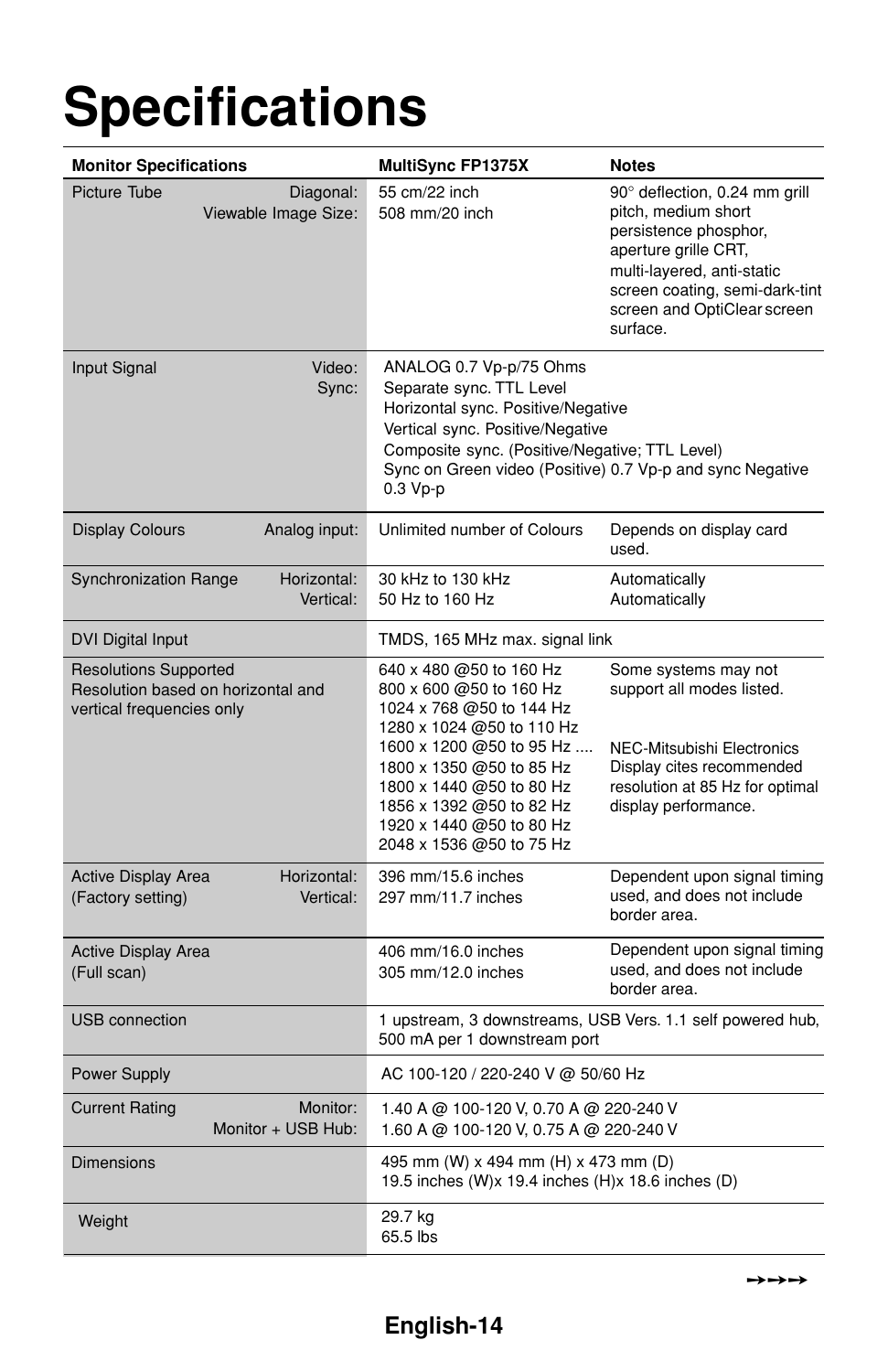## **Specifications**

| <b>Monitor Specifications</b>                                                                   | <b>MultiSync FP1375X</b>                                                                                                                                                                                                                                                            | <b>Notes</b>                                                                                                                                                                                                     |  |  |
|-------------------------------------------------------------------------------------------------|-------------------------------------------------------------------------------------------------------------------------------------------------------------------------------------------------------------------------------------------------------------------------------------|------------------------------------------------------------------------------------------------------------------------------------------------------------------------------------------------------------------|--|--|
| Diagonal:<br>Picture Tube<br>Viewable Image Size:                                               | 55 cm/22 inch<br>508 mm/20 inch                                                                                                                                                                                                                                                     | 90° deflection, 0.24 mm grill<br>pitch, medium short<br>persistence phosphor,<br>aperture grille CRT,<br>multi-layered, anti-static<br>screen coating, semi-dark-tint<br>screen and OptiClear screen<br>surface. |  |  |
| Input Signal<br>Video:<br>Sync:                                                                 | ANALOG 0.7 Vp-p/75 Ohms<br>Separate sync. TTL Level<br>Horizontal sync. Positive/Negative<br>Vertical sync. Positive/Negative<br>Composite sync. (Positive/Negative; TTL Level)<br>Sync on Green video (Positive) 0.7 Vp-p and sync Negative<br>$0.3 Vp-p$                          |                                                                                                                                                                                                                  |  |  |
| <b>Display Colours</b><br>Analog input:                                                         | Unlimited number of Colours                                                                                                                                                                                                                                                         | Depends on display card<br>used.                                                                                                                                                                                 |  |  |
| <b>Synchronization Range</b><br>Horizontal:<br>Vertical:                                        | 30 kHz to 130 kHz<br>50 Hz to 160 Hz                                                                                                                                                                                                                                                | Automatically<br>Automatically                                                                                                                                                                                   |  |  |
| <b>DVI Digital Input</b>                                                                        | TMDS, 165 MHz max. signal link                                                                                                                                                                                                                                                      |                                                                                                                                                                                                                  |  |  |
| <b>Resolutions Supported</b><br>Resolution based on horizontal and<br>vertical frequencies only | 640 x 480 @50 to 160 Hz<br>800 x 600 @50 to 160 Hz<br>1024 x 768 @50 to 144 Hz<br>1280 x 1024 @50 to 110 Hz<br>1600 x 1200 @50 to 95 Hz<br>1800 x 1350 @50 to 85 Hz<br>1800 x 1440 @50 to 80 Hz<br>1856 x 1392 @50 to 82 Hz<br>1920 x 1440 @50 to 80 Hz<br>2048 x 1536 @50 to 75 Hz | Some systems may not<br>support all modes listed.<br>NEC-Mitsubishi Electronics<br>Display cites recommended<br>resolution at 85 Hz for optimal<br>display performance.                                          |  |  |
| <b>Active Display Area</b><br>Horizontal:<br>(Factory setting)<br>Vertical:                     | 396 mm/15.6 inches<br>297 mm/11.7 inches                                                                                                                                                                                                                                            | Dependent upon signal timing<br>used, and does not include<br>border area.                                                                                                                                       |  |  |
| <b>Active Display Area</b><br>(Full scan)                                                       | 406 mm/16.0 inches<br>305 mm/12.0 inches                                                                                                                                                                                                                                            | Dependent upon signal timing<br>used, and does not include<br>border area.                                                                                                                                       |  |  |
| <b>USB</b> connection                                                                           | 1 upstream, 3 downstreams, USB Vers. 1.1 self powered hub,<br>500 mA per 1 downstream port                                                                                                                                                                                          |                                                                                                                                                                                                                  |  |  |
| <b>Power Supply</b>                                                                             | AC 100-120 / 220-240 V @ 50/60 Hz                                                                                                                                                                                                                                                   |                                                                                                                                                                                                                  |  |  |
| <b>Current Rating</b><br>Monitor:<br>Monitor + USB Hub:                                         | 1.40 A @ 100-120 V, 0.70 A @ 220-240 V<br>1.60 A @ 100-120 V, 0.75 A @ 220-240 V                                                                                                                                                                                                    |                                                                                                                                                                                                                  |  |  |
| Dimensions                                                                                      | 495 mm (W) x 494 mm (H) x 473 mm (D)<br>19.5 inches (W)x 19.4 inches (H)x 18.6 inches (D)                                                                                                                                                                                           |                                                                                                                                                                                                                  |  |  |
| Weight                                                                                          | 29.7 kg<br>65.5 lbs                                                                                                                                                                                                                                                                 |                                                                                                                                                                                                                  |  |  |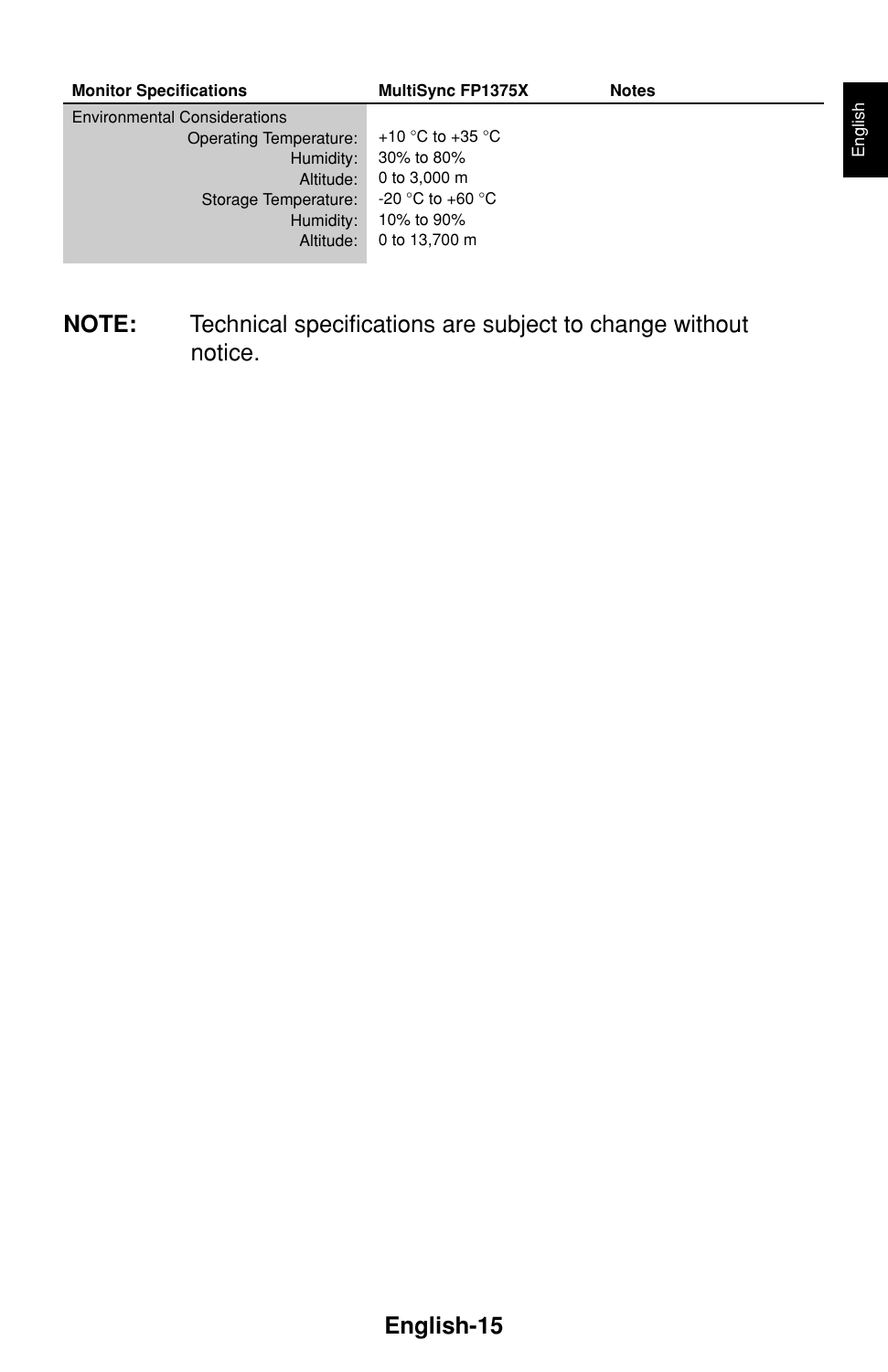| <b>Monitor Specifications</b>       | <b>MultiSync FP1375X</b> | <b>Notes</b> |  |
|-------------------------------------|--------------------------|--------------|--|
| <b>Environmental Considerations</b> |                          |              |  |
| Operating Temperature:              | +10 °C to +35 °C         |              |  |
| Humidity:                           | 30% to 80%               |              |  |
| Altitude:                           | 0 to 3,000 m             |              |  |
| Storage Temperature:                | $-20$ °C to $+60$ °C     |              |  |
| Humidity:                           | 10% to 90%               |              |  |
| Altitude:                           | 0 to 13.700 m            |              |  |
|                                     |                          |              |  |

**NOTE:** Technical specifications are subject to change without notice.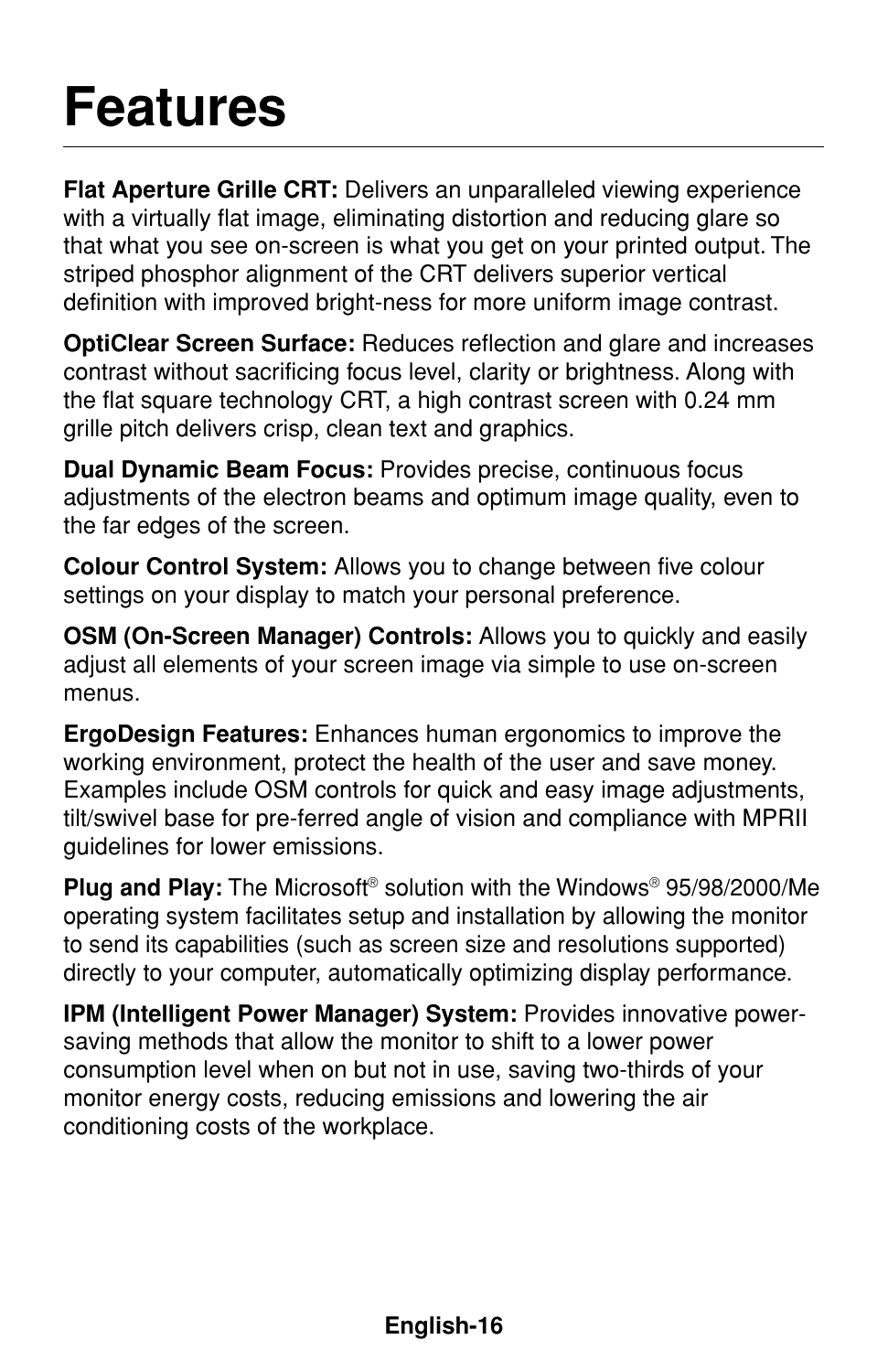### **Features**

**Flat Aperture Grille CRT:** Delivers an unparalleled viewing experience with a virtually flat image, eliminating distortion and reducing glare so that what you see on-screen is what you get on your printed output. The striped phosphor alignment of the CRT delivers superior vertical definition with improved bright-ness for more uniform image contrast.

**OptiClear Screen Surface:** Reduces reflection and glare and increases contrast without sacrificing focus level, clarity or brightness. Along with the flat square technology CRT, a high contrast screen with 0.24 mm grille pitch delivers crisp, clean text and graphics.

**Dual Dynamic Beam Focus:** Provides precise, continuous focus adjustments of the electron beams and optimum image quality, even to the far edges of the screen.

**Colour Control System:** Allows you to change between five colour settings on your display to match your personal preference.

**OSM (On-Screen Manager) Controls:** Allows you to quickly and easily adjust all elements of your screen image via simple to use on-screen menus.

**ErgoDesign Features:** Enhances human ergonomics to improve the working environment, protect the health of the user and save money. Examples include OSM controls for quick and easy image adjustments, tilt/swivel base for pre-ferred angle of vision and compliance with MPRII guidelines for lower emissions.

**Plug and Play:** The Microsoft® solution with the Windows® 95/98/2000/Me operating system facilitates setup and installation by allowing the monitor to send its capabilities (such as screen size and resolutions supported) directly to your computer, automatically optimizing display performance.

**IPM (Intelligent Power Manager) System:** Provides innovative powersaving methods that allow the monitor to shift to a lower power consumption level when on but not in use, saving two-thirds of your monitor energy costs, reducing emissions and lowering the air conditioning costs of the workplace.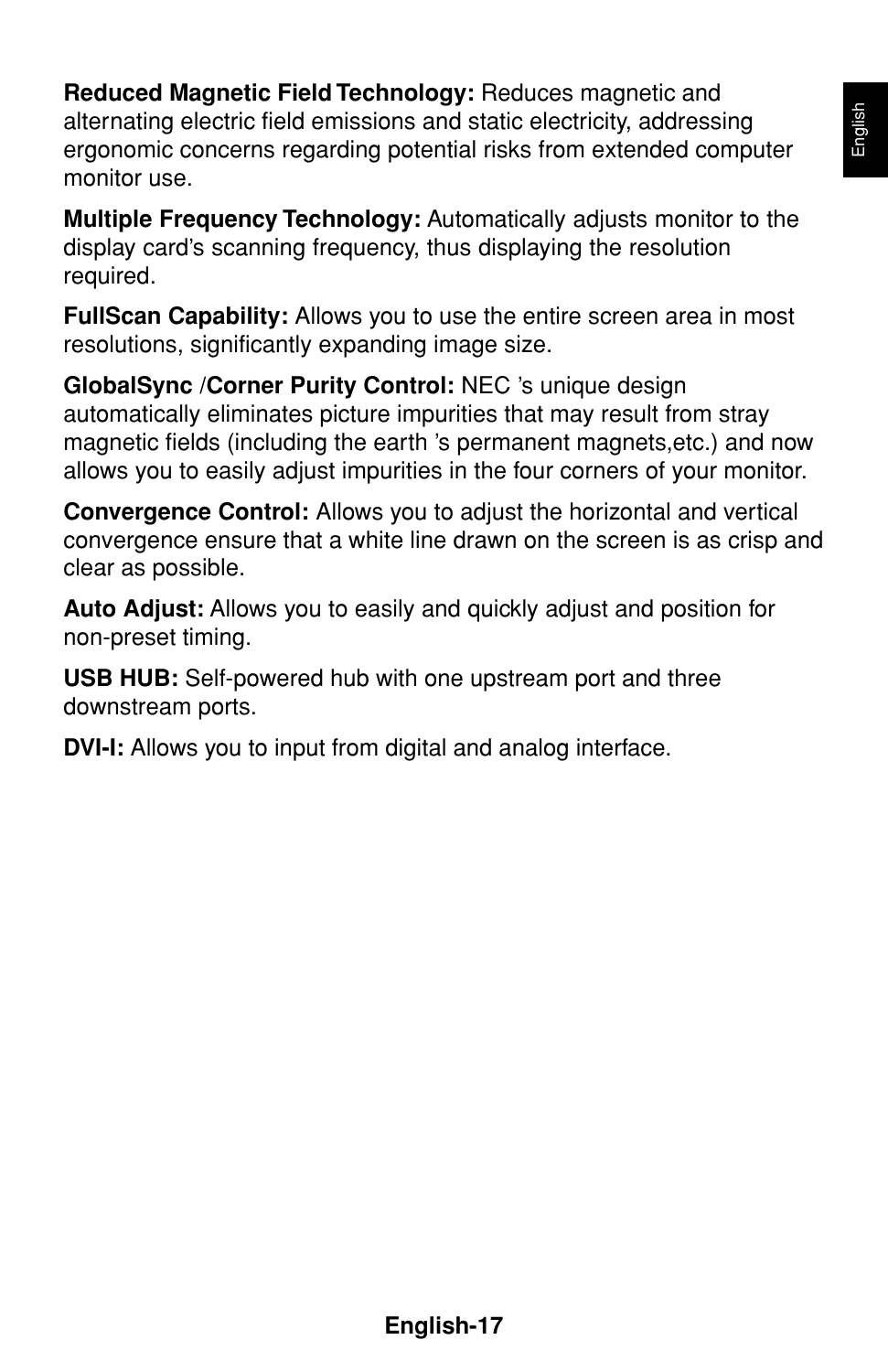**Reduced Magnetic Field Technology:** Reduces magnetic and alternating electric field emissions and static electricity, addressing ergonomic concerns regarding potential risks from extended computer monitor use.

**Multiple Frequency Technology:** Automatically adjusts monitor to the display card's scanning frequency, thus displaying the resolution required.

**FullScan Capability:** Allows you to use the entire screen area in most resolutions, significantly expanding image size.

**GlobalSync /Corner Purity Control:** NEC 's unique design automatically eliminates picture impurities that may result from stray magnetic fields (including the earth 's permanent magnets,etc.) and now allows you to easily adjust impurities in the four corners of your monitor.

**Convergence Control:** Allows you to adjust the horizontal and vertical convergence ensure that a white line drawn on the screen is as crisp and clear as possible.

**Auto Adjust:** Allows you to easily and quickly adjust and position for non-preset timing.

**USB HUB:** Self-powered hub with one upstream port and three downstream ports.

**DVI-I:** Allows you to input from digital and analog interface.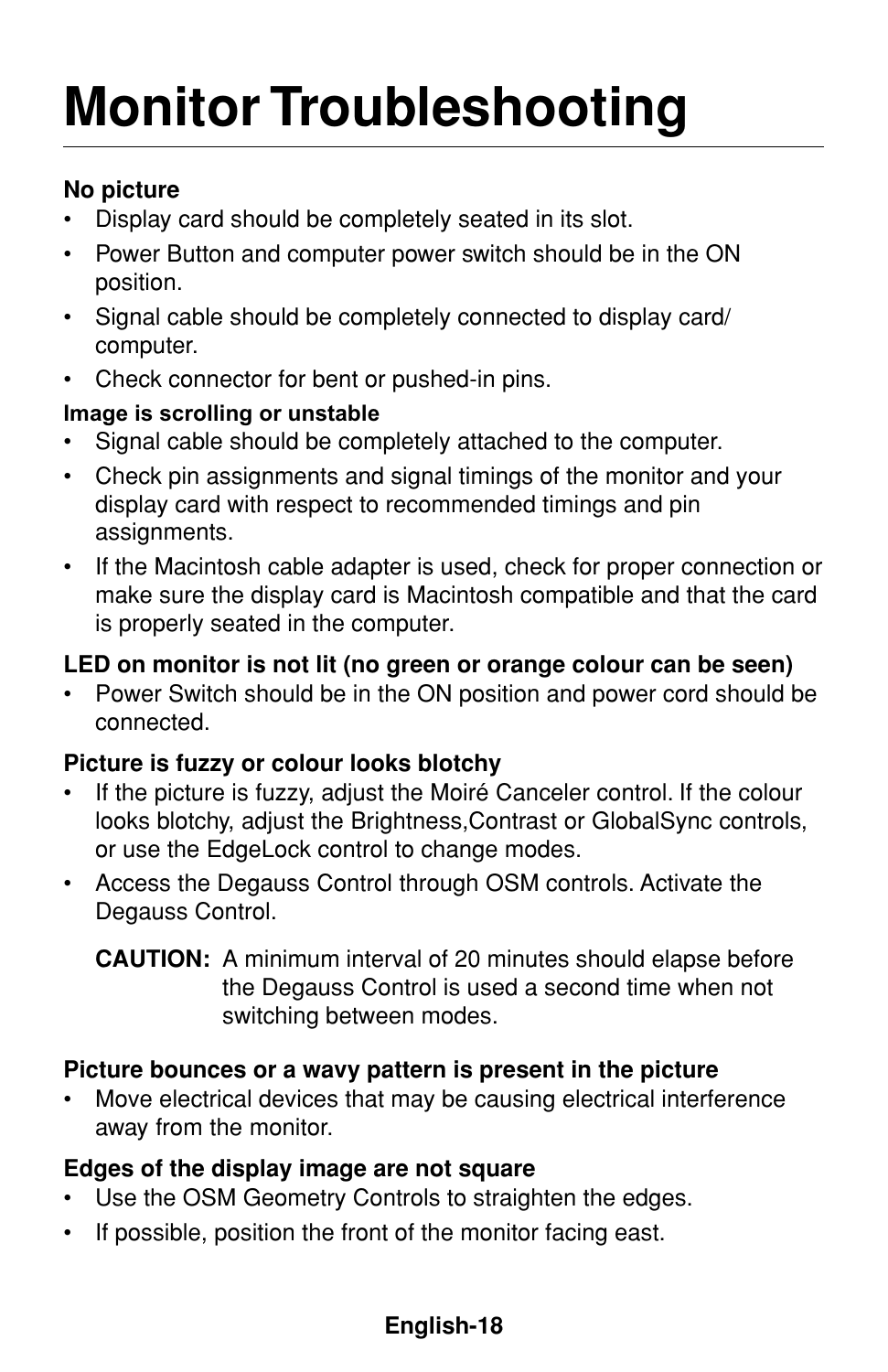# **Monitor Troubleshooting**

### **No picture**

- Display card should be completely seated in its slot.
- Power Button and computer power switch should be in the ON position.
- Signal cable should be completely connected to display card/ computer.
- Check connector for bent or pushed-in pins.

### **Image is scrolling or unstable**

- Signal cable should be completely attached to the computer.
- Check pin assignments and signal timings of the monitor and your display card with respect to recommended timings and pin assignments.
- If the Macintosh cable adapter is used, check for proper connection or make sure the display card is Macintosh compatible and that the card is properly seated in the computer.

### **LED on monitor is not lit (no green or orange colour can be seen)**

• Power Switch should be in the ON position and power cord should be connected.

### **Picture is fuzzy or colour looks blotchy**

- If the picture is fuzzy, adjust the Moiré Canceler control. If the colour looks blotchy, adjust the Brightness,Contrast or GlobalSync controls, or use the EdgeLock control to change modes.
- Access the Degauss Control through OSM controls. Activate the Degauss Control.

### **Picture bounces or a wavy pattern is present in the picture**

Move electrical devices that may be causing electrical interference away from the monitor.

### **Edges of the display image are not square**

- Use the OSM Geometry Controls to straighten the edges.
- If possible, position the front of the monitor facing east.

**CAUTION:** A minimum interval of 20 minutes should elapse before the Degauss Control is used a second time when not switching between modes.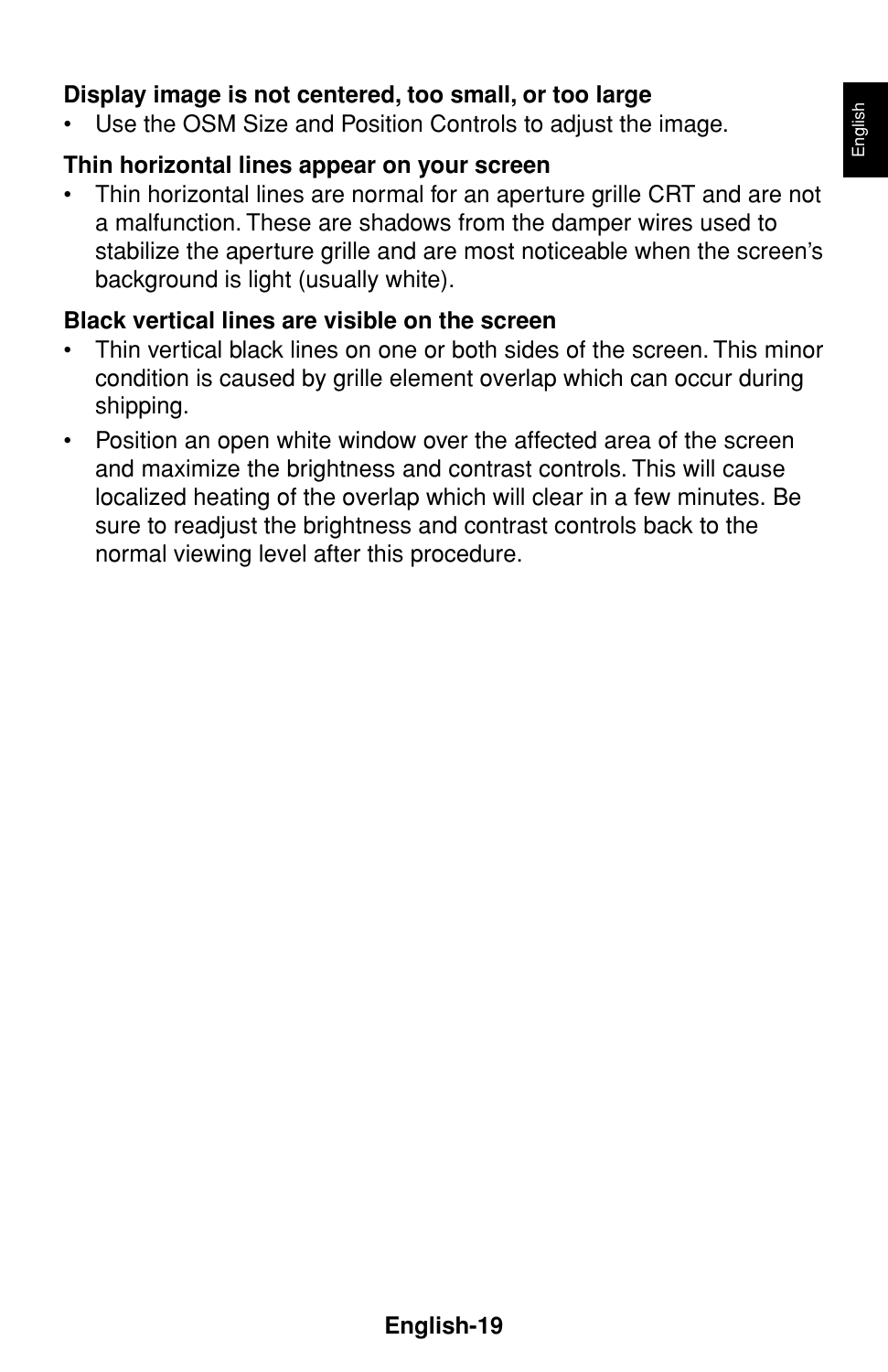### **Display image is not centered, too small, or too large**

Use the OSM Size and Position Controls to adjust the image.

### **Thin horizontal lines appear on your screen**

• Thin horizontal lines are normal for an aperture grille CRT and are not a malfunction. These are shadows from the damper wires used to stabilize the aperture grille and are most noticeable when the screen's background is light (usually white).

### **Black vertical lines are visible on the screen**

- Thin vertical black lines on one or both sides of the screen. This minor condition is caused by grille element overlap which can occur during shipping.
- Position an open white window over the affected area of the screen and maximize the brightness and contrast controls. This will cause localized heating of the overlap which will clear in a few minutes. Be sure to readjust the brightness and contrast controls back to the normal viewing level after this procedure.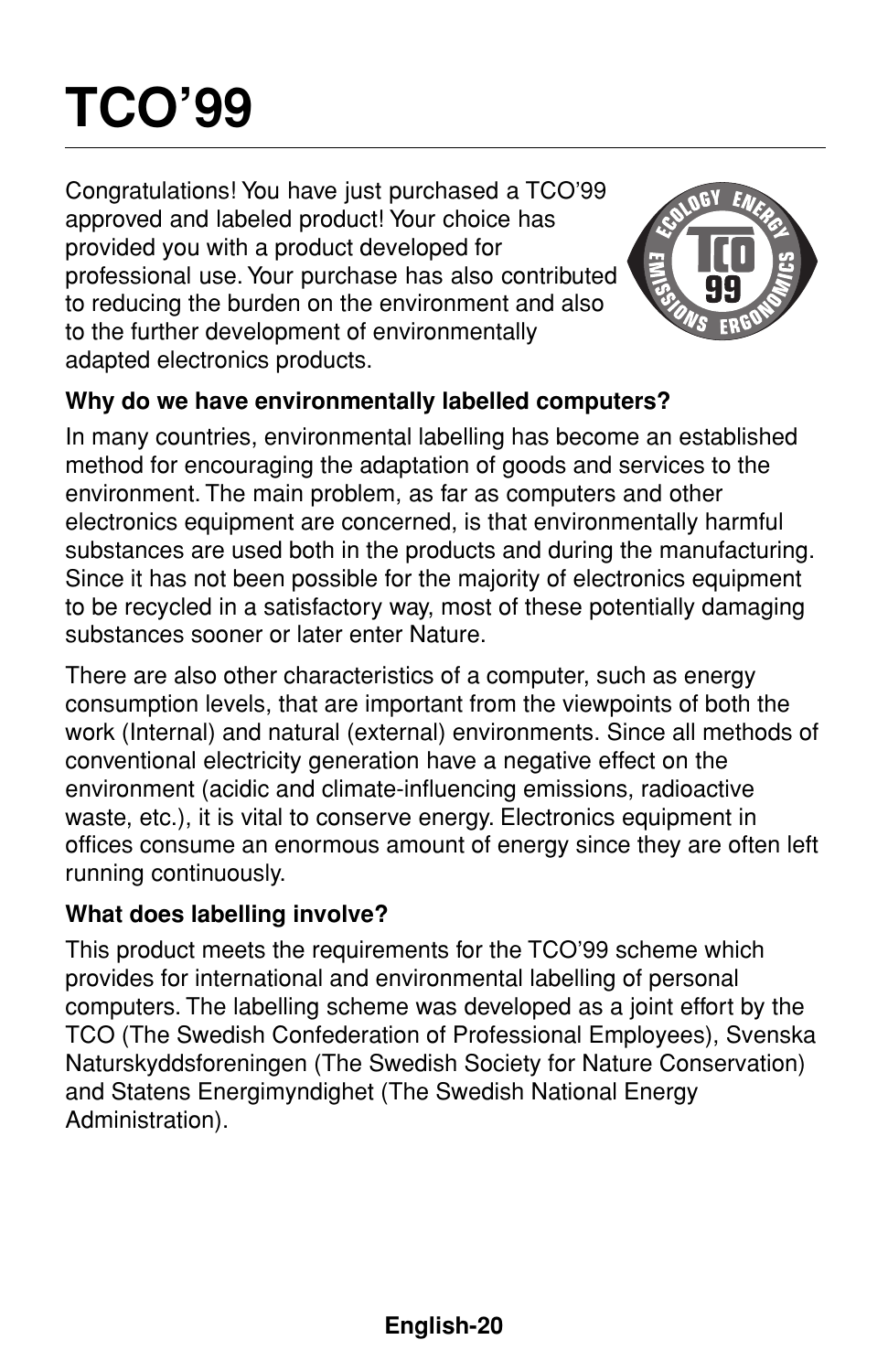# **TCO'99**

Congratulations! You have just purchased a TCO'99 approved and labeled product! Your choice has provided you with a product developed for professional use. Your purchase has also contributed to reducing the burden on the environment and also to the further development of environmentally adapted electronics products.



### **Why do we have environmentally labelled computers?**

In many countries, environmental labelling has become an established method for encouraging the adaptation of goods and services to the environment. The main problem, as far as computers and other electronics equipment are concerned, is that environmentally harmful substances are used both in the products and during the manufacturing. Since it has not been possible for the majority of electronics equipment to be recycled in a satisfactory way, most of these potentially damaging substances sooner or later enter Nature.

There are also other characteristics of a computer, such as energy consumption levels, that are important from the viewpoints of both the work (Internal) and natural (external) environments. Since all methods of conventional electricity generation have a negative effect on the environment (acidic and climate-influencing emissions, radioactive waste, etc.), it is vital to conserve energy. Electronics equipment in offices consume an enormous amount of energy since they are often left running continuously.

### **What does labelling involve?**

This product meets the requirements for the TCO'99 scheme which provides for international and environmental labelling of personal computers. The labelling scheme was developed as a joint effort by the TCO (The Swedish Confederation of Professional Employees), Svenska Naturskyddsforeningen (The Swedish Society for Nature Conservation) and Statens Energimyndighet (The Swedish National Energy Administration).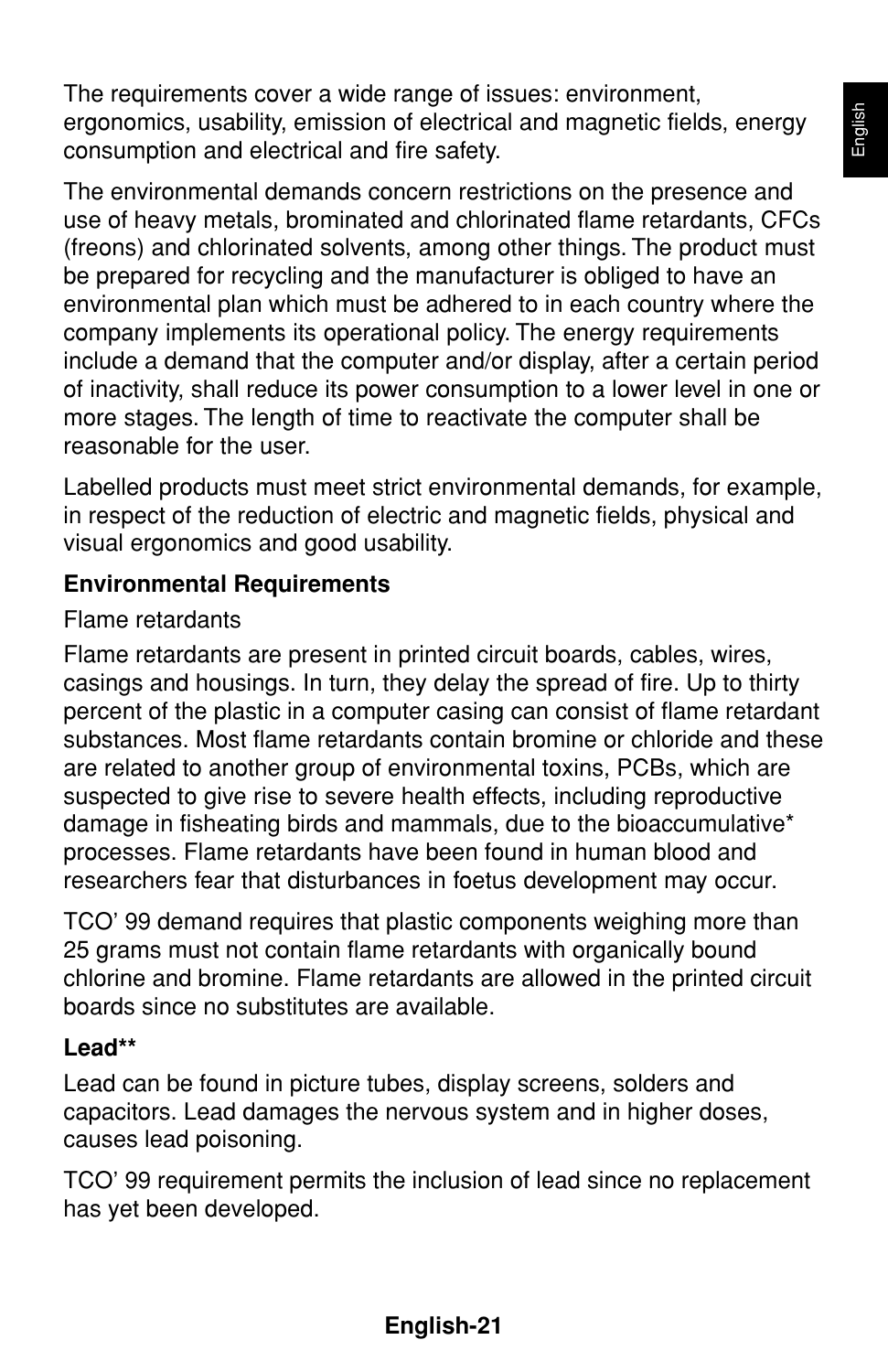The requirements cover a wide range of issues: environment, ergonomics, usability, emission of electrical and magnetic fields, energy consumption and electrical and fire safety.

The environmental demands concern restrictions on the presence and use of heavy metals, brominated and chlorinated flame retardants, CFCs (freons) and chlorinated solvents, among other things. The product must be prepared for recycling and the manufacturer is obliged to have an environmental plan which must be adhered to in each country where the company implements its operational policy. The energy requirements include a demand that the computer and/or display, after a certain period of inactivity, shall reduce its power consumption to a lower level in one or more stages. The length of time to reactivate the computer shall be reasonable for the user.

Labelled products must meet strict environmental demands, for example, in respect of the reduction of electric and magnetic fields, physical and visual ergonomics and good usability.

### **Environmental Requirements**

#### Flame retardants

Flame retardants are present in printed circuit boards, cables, wires, casings and housings. In turn, they delay the spread of fire. Up to thirty percent of the plastic in a computer casing can consist of flame retardant substances. Most flame retardants contain bromine or chloride and these are related to another group of environmental toxins, PCBs, which are suspected to give rise to severe health effects, including reproductive damage in fisheating birds and mammals, due to the bioaccumulative\* processes. Flame retardants have been found in human blood and researchers fear that disturbances in foetus development may occur.

TCO' 99 demand requires that plastic components weighing more than 25 grams must not contain flame retardants with organically bound chlorine and bromine. Flame retardants are allowed in the printed circuit boards since no substitutes are available.

#### **Lead\*\***

Lead can be found in picture tubes, display screens, solders and capacitors. Lead damages the nervous system and in higher doses, causes lead poisoning.

TCO' 99 requirement permits the inclusion of lead since no replacement has yet been developed.